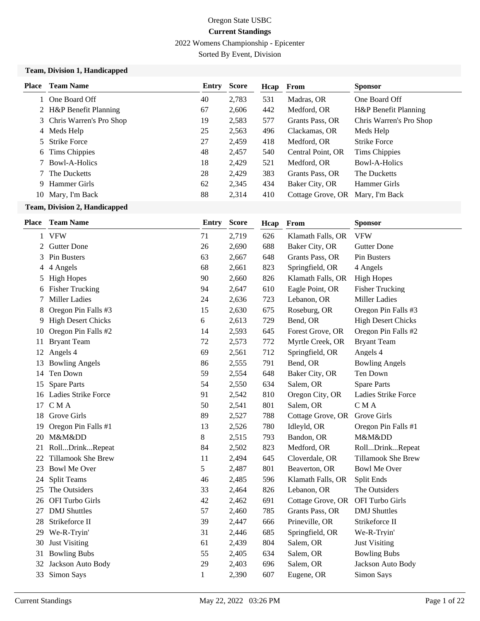2022 Womens Championship - Epicenter

Sorted By Event, Division

#### **Team, Division 1, Handicapped**

| <b>Place</b> | <b>Team Name</b>          | Entry | Score | Hcap | From              | <b>Sponsor</b>          |
|--------------|---------------------------|-------|-------|------|-------------------|-------------------------|
|              | One Board Off             | 40    | 2,783 | 531  | Madras, OR        | One Board Off           |
|              | 2 H&P Benefit Planning    | 67    | 2,606 | 442  | Medford, OR       | H&P Benefit Planning    |
|              | 3 Chris Warren's Pro Shop | 19    | 2,583 | 577  | Grants Pass, OR   | Chris Warren's Pro Shop |
|              | 4 Meds Help               | 25    | 2,563 | 496  | Clackamas, OR     | Meds Help               |
|              | 5 Strike Force            | 27    | 2,459 | 418  | Medford, OR       | <b>Strike Force</b>     |
|              | 6 Tims Chippies           | 48    | 2,457 | 540  | Central Point, OR | Tims Chippies           |
|              | Bowl-A-Holics             | 18    | 2,429 | 521  | Medford, OR       | Bowl-A-Holics           |
|              | The Ducketts              | 28    | 2,429 | 383  | Grants Pass, OR   | The Ducketts            |
| 9            | Hammer Girls              | 62    | 2,345 | 434  | Baker City, OR    | Hammer Girls            |
|              | 10 Mary, I'm Back         | 88    | 2,314 | 410  | Cottage Grove, OR | Mary, I'm Back          |

### **Team, Division 2, Handicapped**

|    | <b>Place</b> Team Name    | <b>Entry</b> | <b>Score</b> | Hcap | From              | <b>Sponsor</b>            |
|----|---------------------------|--------------|--------------|------|-------------------|---------------------------|
| 1  | <b>VFW</b>                | 71           | 2,719        | 626  | Klamath Falls, OR | <b>VFW</b>                |
| 2  | <b>Gutter Done</b>        | 26           | 2,690        | 688  | Baker City, OR    | <b>Gutter Done</b>        |
| 3  | Pin Busters               | 63           | 2,667        | 648  | Grants Pass, OR   | Pin Busters               |
| 4  | 4 Angels                  | 68           | 2,661        | 823  | Springfield, OR   | 4 Angels                  |
| 5  | <b>High Hopes</b>         | 90           | 2,660        | 826  | Klamath Falls, OR | <b>High Hopes</b>         |
| 6  | <b>Fisher Trucking</b>    | 94           | 2,647        | 610  | Eagle Point, OR   | <b>Fisher Trucking</b>    |
| 7  | <b>Miller Ladies</b>      | 24           | 2,636        | 723  | Lebanon, OR       | <b>Miller Ladies</b>      |
| 8  | Oregon Pin Falls #3       | 15           | 2,630        | 675  | Roseburg, OR      | Oregon Pin Falls #3       |
| 9. | <b>High Desert Chicks</b> | 6            | 2,613        | 729  | Bend, OR          | <b>High Desert Chicks</b> |
| 10 | Oregon Pin Falls #2       | 14           | 2,593        | 645  | Forest Grove, OR  | Oregon Pin Falls #2       |
| 11 | <b>Bryant Team</b>        | 72           | 2,573        | 772  | Myrtle Creek, OR  | <b>Bryant Team</b>        |
| 12 | Angels 4                  | 69           | 2,561        | 712  | Springfield, OR   | Angels 4                  |
| 13 | <b>Bowling Angels</b>     | 86           | 2,555        | 791  | Bend, OR          | <b>Bowling Angels</b>     |
| 14 | Ten Down                  | 59           | 2,554        | 648  | Baker City, OR    | Ten Down                  |
| 15 | <b>Spare Parts</b>        | 54           | 2,550        | 634  | Salem, OR         | <b>Spare Parts</b>        |
|    | 16 Ladies Strike Force    | 91           | 2,542        | 810  | Oregon City, OR   | Ladies Strike Force       |
| 17 | CMA                       | 50           | 2,541        | 801  | Salem, OR         | CMA                       |
| 18 | Grove Girls               | 89           | 2,527        | 788  | Cottage Grove, OR | Grove Girls               |
| 19 | Oregon Pin Falls #1       | 13           | 2,526        | 780  | Idleyld, OR       | Oregon Pin Falls #1       |
| 20 | M&Mⅅ                      | 8            | 2,515        | 793  | Bandon, OR        | M&Mⅅ                      |
| 21 | RollDrinkRepeat           | 84           | 2,502        | 823  | Medford, OR       | RollDrinkRepeat           |
| 22 | <b>Tillamook She Brew</b> | 11           | 2,494        | 645  | Cloverdale, OR    | <b>Tillamook She Brew</b> |
| 23 | <b>Bowl Me Over</b>       | 5            | 2,487        | 801  | Beaverton, OR     | <b>Bowl Me Over</b>       |
| 24 | Split Teams               | 46           | 2,485        | 596  | Klamath Falls, OR | Split Ends                |
| 25 | The Outsiders             | 33           | 2,464        | 826  | Lebanon, OR       | The Outsiders             |
| 26 | OFI Turbo Girls           | 42           | 2,462        | 691  | Cottage Grove, OR | OFI Turbo Girls           |
| 27 | <b>DMJ</b> Shuttles       | 57           | 2,460        | 785  | Grants Pass, OR   | <b>DMJ</b> Shuttles       |
| 28 | Strikeforce II            | 39           | 2,447        | 666  | Prineville, OR    | Strikeforce II            |
| 29 | We-R-Tryin'               | 31           | 2,446        | 685  | Springfield, OR   | We-R-Tryin'               |
| 30 | <b>Just Visiting</b>      | 61           | 2,439        | 804  | Salem, OR         | <b>Just Visiting</b>      |
| 31 | <b>Bowling Bubs</b>       | 55           | 2,405        | 634  | Salem, OR         | <b>Bowling Bubs</b>       |
| 32 | Jackson Auto Body         | 29           | 2,403        | 696  | Salem, OR         | Jackson Auto Body         |
| 33 | Simon Says                | 1            | 2,390        | 607  | Eugene, OR        | Simon Says                |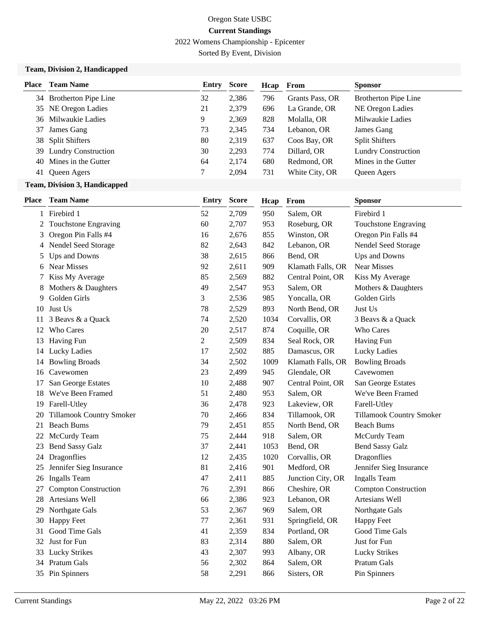2022 Womens Championship - Epicenter

Sorted By Event, Division

### **Team, Division 2, Handicapped**

| <b>Place</b>   | <b>Team Name</b>        | Entry | <b>Score</b> | Hcap | From            | <b>Sponsor</b>              |
|----------------|-------------------------|-------|--------------|------|-----------------|-----------------------------|
|                | 34 Brotherton Pipe Line | 32    | 2,386        | 796  | Grants Pass, OR | <b>Brotherton Pipe Line</b> |
|                | 35 NE Oregon Ladies     | 21    | 2,379        | 696  | La Grande, OR   | NE Oregon Ladies            |
|                | 36 Milwaukie Ladies     | 9     | 2,369        | 828  | Molalla, OR     | Milwaukie Ladies            |
| 37             | James Gang              | 73    | 2,345        | 734  | Lebanon, OR     | James Gang                  |
|                | 38 Split Shifters       | 80    | 2,319        | 637  | Coos Bay, OR    | <b>Split Shifters</b>       |
|                | 39 Lundry Construction  | 30    | 2,293        | 774  | Dillard, OR     | <b>Lundry Construction</b>  |
|                | 40 Mines in the Gutter  | 64    | 2,174        | 680  | Redmond, OR     | Mines in the Gutter         |
| 41             | Queen Agers             | ┑     | 2,094        | 731  | White City, OR  | Queen Agers                 |
| <b>CONTENT</b> |                         |       |              |      |                 |                             |

#### **Team, Division 3, Handicapped**

| <b>Place</b>   | <b>Team Name</b>                | Entry          | <b>Score</b> | Hcap | From              | <b>Sponsor</b>              |
|----------------|---------------------------------|----------------|--------------|------|-------------------|-----------------------------|
|                | 1 Firebird 1                    | 52             | 2,709        | 950  | Salem, OR         | Firebird 1                  |
| $\overline{c}$ | <b>Touchstone Engraving</b>     | 60             | 2,707        | 953  | Roseburg, OR      | Touchstone Engraving        |
| 3              | Oregon Pin Falls #4             | 16             | 2,676        | 855  | Winston, OR       | Oregon Pin Falls #4         |
| 4              | Nendel Seed Storage             | 82             | 2,643        | 842  | Lebanon, OR       | Nendel Seed Storage         |
| 5              | Ups and Downs                   | 38             | 2,615        | 866  | Bend, OR          | Ups and Downs               |
| 6              | Near Misses                     | 92             | 2,611        | 909  | Klamath Falls, OR | Near Misses                 |
| 7              | Kiss My Average                 | 85             | 2,569        | 882  | Central Point, OR | Kiss My Average             |
| 8              | Mothers & Daughters             | 49             | 2,547        | 953  | Salem, OR         | Mothers & Daughters         |
| 9              | Golden Girls                    | 3              | 2,536        | 985  | Yoncalla, OR      | Golden Girls                |
| 10             | Just Us                         | 78             | 2,529        | 893  | North Bend, OR    | Just Us                     |
| 11             | 3 Beavs & a Quack               | 74             | 2,520        | 1034 | Corvallis, OR     | 3 Beavs & a Quack           |
| 12             | Who Cares                       | 20             | 2,517        | 874  | Coquille, OR      | Who Cares                   |
| 13             | <b>Having Fun</b>               | $\overline{2}$ | 2,509        | 834  | Seal Rock, OR     | Having Fun                  |
|                | 14 Lucky Ladies                 | 17             | 2,502        | 885  | Damascus, OR      | <b>Lucky Ladies</b>         |
| 14             | <b>Bowling Broads</b>           | 34             | 2,502        | 1009 | Klamath Falls, OR | <b>Bowling Broads</b>       |
| 16             | Cavewomen                       | 23             | 2,499        | 945  | Glendale, OR      | Cavewomen                   |
| 17             | San George Estates              | 10             | 2,488        | 907  | Central Point, OR | San George Estates          |
| 18             | We've Been Framed               | 51             | 2,480        | 953  | Salem, OR         | We've Been Framed           |
| 19             | Farell-Utley                    | 36             | 2,478        | 923  | Lakeview, OR      | Farell-Utley                |
| 20             | <b>Tillamook Country Smoker</b> | 70             | 2,466        | 834  | Tillamook, OR     | Tillamook Country Smoker    |
| 21             | <b>Beach Bums</b>               | 79             | 2,451        | 855  | North Bend, OR    | <b>Beach Bums</b>           |
| 22             | McCurdy Team                    | 75             | 2,444        | 918  | Salem, OR         | McCurdy Team                |
| 23             | <b>Bend Sassy Galz</b>          | 37             | 2,441        | 1053 | Bend, OR          | <b>Bend Sassy Galz</b>      |
| 24             | Dragonflies                     | 12             | 2,435        | 1020 | Corvallis, OR     | Dragonflies                 |
| 25             | Jennifer Sieg Insurance         | 81             | 2,416        | 901  | Medford, OR       | Jennifer Sieg Insurance     |
| 26             | <b>Ingalls Team</b>             | 47             | 2,411        | 885  | Junction City, OR | <b>Ingalls Team</b>         |
| 27             | <b>Compton Construction</b>     | 76             | 2,391        | 866  | Cheshire, OR      | <b>Compton Construction</b> |
| 28             | Artesians Well                  | 66             | 2,386        | 923  | Lebanon, OR       | Artesians Well              |
| 29             | Northgate Gals                  | 53             | 2,367        | 969  | Salem, OR         | Northgate Gals              |
| 30             | <b>Happy Feet</b>               | 77             | 2,361        | 931  | Springfield, OR   | <b>Happy Feet</b>           |
| 31             | Good Time Gals                  | 41             | 2,359        | 834  | Portland, OR      | Good Time Gals              |
| 32             | Just for Fun                    | 83             | 2,314        | 880  | Salem, OR         | Just for Fun                |
| 33             | <b>Lucky Strikes</b>            | 43             | 2,307        | 993  | Albany, OR        | <b>Lucky Strikes</b>        |
| 34             | Pratum Gals                     | 56             | 2,302        | 864  | Salem, OR         | Pratum Gals                 |
|                | 35 Pin Spinners                 | 58             | 2,291        | 866  | Sisters, OR       | Pin Spinners                |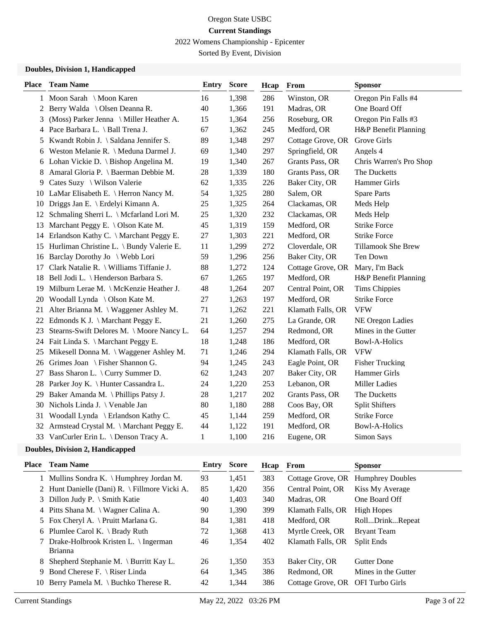2022 Womens Championship - Epicenter

Sorted By Event, Division

### **Doubles, Division 1, Handicapped**

| <b>Place</b> | <b>Team Name</b>                            | <b>Entry</b> | <b>Score</b> | Hcap    | From              | <b>Sponsor</b>          |
|--------------|---------------------------------------------|--------------|--------------|---------|-------------------|-------------------------|
|              | 1 Moon Sarah \ Moon Karen                   | 16           | 1,398        | 286     | Winston, OR       | Oregon Pin Falls #4     |
| 2            | Berry Walda \ Olsen Deanna R.               | 40           | 1,366        | 191     | Madras, OR        | One Board Off           |
| 3            | (Moss) Parker Jenna \ Miller Heather A.     | 15           | 1,364        | 256     | Roseburg, OR      | Oregon Pin Falls #3     |
|              | 4 Pace Barbara L. \ Ball Trena J.           | 67           | 1,362        | 245     | Medford, OR       | H&P Benefit Planning    |
| 5            | Kwandt Robin J. \ Saldana Jennifer S.       | 89           | 1,348        | 297     | Cottage Grove, OR | Grove Girls             |
| 6            | Weston Melanie R. \ Meduna Darmel J.        | 69           | 1,340        | 297     | Springfield, OR   | Angels 4                |
|              | 6 Lohan Vickie D. \ Bishop Angelina M.      | 19           | 1,340        | 267     | Grants Pass, OR   | Chris Warren's Pro Shop |
| 8            | Amaral Gloria P. \ Baerman Debbie M.        | $28\,$       | 1,339        | 180     | Grants Pass, OR   | The Ducketts            |
| 9            | Cates Suzy \ Wilson Valerie                 | 62           | 1,335        | 226     | Baker City, OR    | Hammer Girls            |
|              | 10 LaMar Elisabeth E. \ Herron Nancy M.     | 54           | 1,325        | 280     | Salem, OR         | <b>Spare Parts</b>      |
|              | 10 Driggs Jan E. \ Erdelyi Kimann A.        | 25           | 1,325        | 264     | Clackamas, OR     | Meds Help               |
| 12           | Schmaling Sherri L. \ Mcfarland Lori M.     | 25           | 1,320        | 232     | Clackamas, OR     | Meds Help               |
| 13           | Marchant Peggy E. \ Olson Kate M.           | 45           | 1,319        | 159     | Medford, OR       | <b>Strike Force</b>     |
| 14           | Erlandson Kathy C. \ Marchant Peggy E.      | 27           | 1,303        | 221     | Medford, OR       | <b>Strike Force</b>     |
|              | 15 Hurliman Christine L. \ Bundy Valerie E. | 11           | 1,299        | 272     | Cloverdale, OR    | Tillamook She Brew      |
| 16           | Barclay Dorothy Jo \ Webb Lori              | 59           | 1,296        | 256     | Baker City, OR    | Ten Down                |
| 17           | Clark Natalie R. \ Williams Tiffanie J.     | 88           | 1,272        | 124     | Cottage Grove, OR | Mary, I'm Back          |
|              | 18 Bell Jodi L. \ Henderson Barbara S.      | 67           | 1,265        | 197     | Medford, OR       | H&P Benefit Planning    |
| 19           | Milburn Lerae M. \ McKenzie Heather J.      | 48           | 1,264        | $207\,$ | Central Point, OR | <b>Tims Chippies</b>    |
| 20           | Woodall Lynda \ Olson Kate M.               | 27           | 1,263        | 197     | Medford, OR       | <b>Strike Force</b>     |
| 21           | Alter Brianna M. \ Waggener Ashley M.       | 71           | 1,262        | 221     | Klamath Falls, OR | <b>VFW</b>              |
| 22           | Edmonds K J. $\{\$ Marchant Peggy E.        | 21           | 1,260        | 275     | La Grande, OR     | NE Oregon Ladies        |
| 23           | Stearns-Swift Delores M. \ Moore Nancy L.   | 64           | 1,257        | 294     | Redmond, OR       | Mines in the Gutter     |
|              | 24 Fait Linda S. \ Marchant Peggy E.        | 18           | 1,248        | 186     | Medford, OR       | <b>Bowl-A-Holics</b>    |
| 25           | Mikesell Donna M. \ Waggener Ashley M.      | 71           | 1,246        | 294     | Klamath Falls, OR | <b>VFW</b>              |
|              | 26 Grimes Joan \ Fisher Shannon G.          | 94           | 1,245        | 243     | Eagle Point, OR   | <b>Fisher Trucking</b>  |
| 27           | Bass Sharon L. \ Curry Summer D.            | 62           | 1,243        | 207     | Baker City, OR    | Hammer Girls            |
|              | 28 Parker Joy K. \ Hunter Cassandra L.      | 24           | 1,220        | 253     | Lebanon, OR       | <b>Miller Ladies</b>    |
| 29           | Baker Amanda M. \Phillips Patsy J.          | 28           | 1,217        | 202     | Grants Pass, OR   | The Ducketts            |
| 30           | Nichols Linda J. \ Venable Jan              | 80           | 1,180        | 288     | Coos Bay, OR      | <b>Split Shifters</b>   |
| 31           | Woodall Lynda \ Erlandson Kathy C.          | 45           | 1,144        | 259     | Medford, OR       | <b>Strike Force</b>     |
|              | 32 Armstead Crystal M. \ Marchant Peggy E.  | 44           | 1,122        | 191     | Medford, OR       | <b>Bowl-A-Holics</b>    |
|              | 33 VanCurler Erin L. \ Denson Tracy A.      | 1            | 1,100        | 216     | Eugene, OR        | Simon Says              |
|              | Doubles Division 7 Handisonned              |              |              |         |                   |                         |

#### **Doubles, Division 2, Handicapped**

| Place | <b>Team Name</b>                                         | Entry | Score | Hcap | From                              | <b>Sponsor</b>          |
|-------|----------------------------------------------------------|-------|-------|------|-----------------------------------|-------------------------|
|       | 1 Mullins Sondra K. \ Humphrey Jordan M.                 | 93    | 1,451 | 383  | Cottage Grove, OR                 | <b>Humphrey Doubles</b> |
|       | 2 Hunt Danielle (Dani) R. \ Fillmore Vicki A.            | 85    | 1,420 | 356  | Central Point, OR                 | Kiss My Average         |
|       | 3 Dillon Judy P. $\Im$ Smith Katie                       | 40    | 1.403 | 340  | Madras, OR                        | One Board Off           |
|       | 4 Pitts Shana M. \ Wagner Calina A.                      | 90    | 1.390 | 399  | Klamath Falls, OR                 | High Hopes              |
|       | 5 Fox Cheryl A. \ Pruitt Marlana G.                      | 84    | 1,381 | 418  | Medford, OR                       | RollDrinkRepeat         |
|       | 6 Plumlee Carol K. \ Brady Ruth                          | 72    | 1,368 | 413  | Myrtle Creek, OR                  | <b>Bryant Team</b>      |
|       | 7 Drake-Holbrook Kristen L. \ Ingerman<br><b>Brianna</b> | 46    | 1,354 | 402  | Klamath Falls, OR                 | Split Ends              |
|       | 8 Shepherd Stephanie M. \ Burritt Kay L.                 | 26    | 1,350 | 353  | Baker City, OR                    | <b>Gutter Done</b>      |
|       | 9 Bond Cherese F. \ Riser Linda                          | 64    | 1,345 | 386  | Redmond, OR                       | Mines in the Gutter     |
|       | 10 Berry Pamela M. \ Buchko Therese R.                   | 42    | 1,344 | 386  | Cottage Grove, OR OFI Turbo Girls |                         |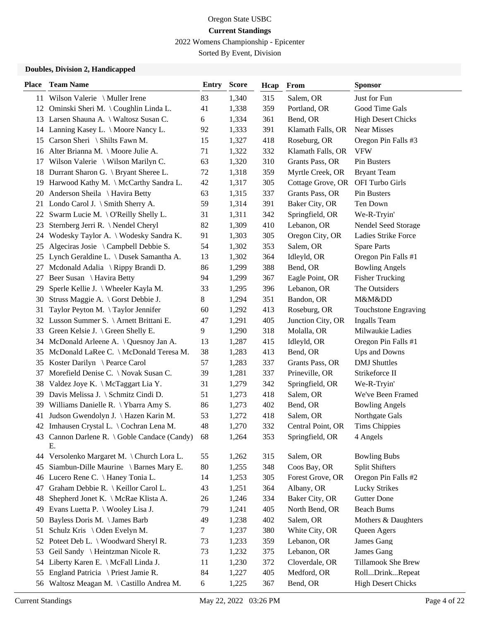2022 Womens Championship - Epicenter

Sorted By Event, Division

### **Doubles, Division 2, Handicapped**

| <b>Place</b> | <b>Team Name</b>                                   | Entry | <b>Score</b> | Hcap | From              | <b>Sponsor</b>            |
|--------------|----------------------------------------------------|-------|--------------|------|-------------------|---------------------------|
|              | 11 Wilson Valerie \ Muller Irene                   | 83    | 1,340        | 315  | Salem, OR         | Just for Fun              |
| 12           | Ominski Sheri M. \Coughlin Linda L.                | 41    | 1,338        | 359  | Portland, OR      | Good Time Gals            |
|              | 13 Larsen Shauna A. \ Waltosz Susan C.             | 6     | 1,334        | 361  | Bend, OR          | <b>High Desert Chicks</b> |
|              | 14 Lanning Kasey L. \ Moore Nancy L.               | 92    | 1,333        | 391  | Klamath Falls, OR | Near Misses               |
| 15           | Carson Sheri \ Shilts Fawn M.                      | 15    | 1,327        | 418  | Roseburg, OR      | Oregon Pin Falls #3       |
| 16           | Alter Brianna M. \ Moore Julie A.                  | 71    | 1,322        | 332  | Klamath Falls, OR | <b>VFW</b>                |
| 17           | Wilson Valerie \ Wilson Marilyn C.                 | 63    | 1,320        | 310  | Grants Pass, OR   | Pin Busters               |
| 18           | Durrant Sharon G. \ Bryant Sheree L.               | 72    | 1,318        | 359  | Myrtle Creek, OR  | <b>Bryant Team</b>        |
| 19           | Harwood Kathy M. \ McCarthy Sandra L.              | 42    | 1,317        | 305  | Cottage Grove, OR | OFI Turbo Girls           |
| 20           | Anderson Sheila \ Havira Betty                     | 63    | 1,315        | 337  | Grants Pass, OR   | Pin Busters               |
| 21           | Londo Carol J. \ Smith Sherry A.                   | 59    | 1,314        | 391  | Baker City, OR    | Ten Down                  |
| 22           | Swarm Lucie M. \O'Reilly Shelly L.                 | 31    | 1,311        | 342  | Springfield, OR   | We-R-Tryin'               |
| 23           | Sternberg Jerri R. \Nendel Cheryl                  | 82    | 1,309        | 410  | Lebanon, OR       | Nendel Seed Storage       |
| 24           | Wodesky Taylor A. \ Wodesky Sandra K.              | 91    | 1,303        | 305  | Oregon City, OR   | Ladies Strike Force       |
| 25           | Algeciras Josie \ Campbell Debbie S.               | 54    | 1,302        | 353  | Salem, OR         | <b>Spare Parts</b>        |
| 25           | Lynch Geraldine L. \ Dusek Samantha A.             | 13    | 1,302        | 364  | Idleyld, OR       | Oregon Pin Falls #1       |
| 27           | Mcdonald Adalia \ Rippy Brandi D.                  | 86    | 1,299        | 388  | Bend, OR          | <b>Bowling Angels</b>     |
| 27           | Beer Susan \ Havira Betty                          | 94    | 1,299        | 367  | Eagle Point, OR   | <b>Fisher Trucking</b>    |
| 29           | Sperle Kellie J. \ Wheeler Kayla M.                | 33    | 1,295        | 396  | Lebanon, OR       | The Outsiders             |
| 30           | Struss Maggie A. \ Gorst Debbie J.                 | 8     | 1,294        | 351  | Bandon, OR        | M&Mⅅ                      |
| 31           | Taylor Peyton M. \Taylor Jennifer                  | 60    | 1,292        | 413  | Roseburg, OR      | Touchstone Engraving      |
| 32           | Lusson Summer S. \ Arnett Brittani E.              | 47    | 1,291        | 405  | Junction City, OR | <b>Ingalls Team</b>       |
| 33           | Green Kelsie J. \ Green Shelly E.                  | 9     | 1,290        | 318  | Molalla, OR       | Milwaukie Ladies          |
| 34           | McDonald Arleene A. \ Quesnoy Jan A.               | 13    | 1,287        | 415  | Idleyld, OR       | Oregon Pin Falls #1       |
| 35           | McDonald LaRee C. \ McDonald Teresa M.             | 38    | 1,283        | 413  | Bend, OR          | Ups and Downs             |
| 35           | Koster Darilyn \ Pearce Carol                      | 57    | 1,283        | 337  | Grants Pass, OR   | <b>DMJ</b> Shuttles       |
| 37           | Morefield Denise C. \ Novak Susan C.               | 39    | 1,281        | 337  | Prineville, OR    | Strikeforce II            |
| 38           | Valdez Joye K. \ McTaggart Lia Y.                  | 31    | 1,279        | 342  | Springfield, OR   | We-R-Tryin'               |
| 39           | Davis Melissa J. \ Schmitz Cindi D.                | 51    | 1,273        | 418  | Salem, OR         | We've Been Framed         |
| 39           | Williams Danielle R. \Ybarra Amy S.                | 86    | 1,273        | 402  | Bend, OR          | <b>Bowling Angels</b>     |
| 41           | Judson Gwendolyn J. \ Hazen Karin M.               | 53    | 1,272        | 418  | Salem, OR         | Northgate Gals            |
|              | 42 Imhausen Crystal L. \ Cochran Lena M.           | 48    | 1,270        | 332  | Central Point, OR | <b>Tims Chippies</b>      |
|              | 43 Cannon Darlene R. \ Goble Candace (Candy)<br>Е. | 68    | 1,264        | 353  | Springfield, OR   | 4 Angels                  |
|              | 44 Versolenko Margaret M. \Church Lora L.          | 55    | 1,262        | 315  | Salem, OR         | <b>Bowling Bubs</b>       |
| 45           | Siambun-Dille Maurine \ Barnes Mary E.             | 80    | 1,255        | 348  | Coos Bay, OR      | <b>Split Shifters</b>     |
| 46           | Lucero Rene C. \ Haney Tonia L.                    | 14    | 1,253        | 305  | Forest Grove, OR  | Oregon Pin Falls #2       |
| 47           | Graham Debbie R. \ Keillor Carol L.                | 43    | 1,251        | 364  | Albany, OR        | <b>Lucky Strikes</b>      |
| 48           | Shepherd Jonet K. \ McRae Klista A.                | 26    | 1,246        | 334  | Baker City, OR    | <b>Gutter Done</b>        |
| 49           | Evans Luetta P. \ Wooley Lisa J.                   | 79    | 1,241        | 405  | North Bend, OR    | <b>Beach Bums</b>         |
| 50           | Bayless Doris M. \James Barb                       | 49    | 1,238        | 402  | Salem, OR         | Mothers & Daughters       |
| 51           | Schulz Kris \ Oden Evelyn M.                       | 7     | 1,237        | 380  | White City, OR    | Queen Agers               |
| 52           | Poteet Deb L. \ Woodward Sheryl R.                 | 73    | 1,233        | 359  | Lebanon, OR       | James Gang                |
| 53           | Geil Sandy \ Heintzman Nicole R.                   | 73    | 1,232        | 375  | Lebanon, OR       | James Gang                |
| 54           | Liberty Karen E. \ McFall Linda J.                 | 11    | 1,230        | 372  | Cloverdale, OR    | Tillamook She Brew        |
| 55           | England Patricia \ Priest Jamie R.                 | 84    | 1,227        | 405  | Medford, OR       | RollDrinkRepeat           |
| 56           | Waltosz Meagan M. \ Castillo Andrea M.             | 6     | 1,225        | 367  | Bend, OR          | <b>High Desert Chicks</b> |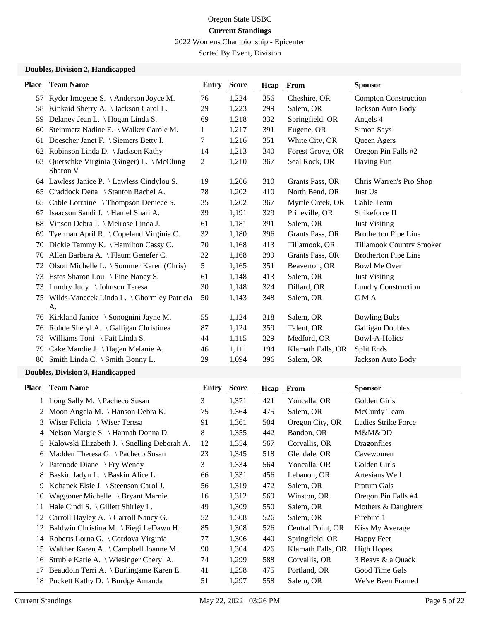2022 Womens Championship - Epicenter

Sorted By Event, Division

### **Doubles, Division 2, Handicapped**

|    | <b>Place</b> Team Name                               | <b>Entry</b> | <b>Score</b> | Hcap | From              | <b>Sponsor</b>                  |
|----|------------------------------------------------------|--------------|--------------|------|-------------------|---------------------------------|
|    | 57 Ryder Imogene S. \ Anderson Joyce M.              | 76           | 1,224        | 356  | Cheshire, OR      | <b>Compton Construction</b>     |
| 58 | Kinkaid Sherry A. \ Jackson Carol L.                 | 29           | 1,223        | 299  | Salem, OR         | Jackson Auto Body               |
| 59 | Delaney Jean L. \ Hogan Linda S.                     | 69           | 1,218        | 332  | Springfield, OR   | Angels 4                        |
| 60 | Steinmetz Nadine E. \ Walker Carole M.               | 1            | 1,217        | 391  | Eugene, OR        | Simon Says                      |
| 61 | Doescher Janet F. \ Siemers Betty I.                 | 7            | 1,216        | 351  | White City, OR    | Queen Agers                     |
| 62 | Robinson Linda D. \ Jackson Kathy                    | 14           | 1,213        | 340  | Forest Grove, OR  | Oregon Pin Falls #2             |
| 63 | Quetschke Virginia (Ginger) L. \ McClung<br>Sharon V | 2            | 1,210        | 367  | Seal Rock, OR     | Having Fun                      |
|    | 64 Lawless Janice P. \ Lawless Cindylou S.           | 19           | 1,206        | 310  | Grants Pass, OR   | Chris Warren's Pro Shop         |
| 65 | Craddock Dena \ Stanton Rachel A.                    | 78           | 1,202        | 410  | North Bend, OR    | Just Us                         |
| 65 | Cable Lorraine \ Thompson Deniece S.                 | 35           | 1,202        | 367  | Myrtle Creek, OR  | Cable Team                      |
| 67 | Isaacson Sandi J. \ Hamel Shari A.                   | 39           | 1,191        | 329  | Prineville, OR    | Strikeforce II                  |
| 68 | Vinson Debra I. \ Meirose Linda J.                   | 61           | 1,181        | 391  | Salem, OR         | <b>Just Visiting</b>            |
| 69 | Tyerman April R. \ Copeland Virginia C.              | 32           | 1,180        | 396  | Grants Pass, OR   | <b>Brotherton Pipe Line</b>     |
| 70 | Dickie Tammy K. \ Hamilton Cassy C.                  | 70           | 1,168        | 413  | Tillamook, OR     | <b>Tillamook Country Smoker</b> |
| 70 | Allen Barbara A. \ Flaum Genefer C.                  | 32           | 1,168        | 399  | Grants Pass, OR   | <b>Brotherton Pipe Line</b>     |
| 72 | Olson Michelle L. \ Sommer Karen (Chris)             | 5            | 1,165        | 351  | Beaverton, OR     | <b>Bowl Me Over</b>             |
| 73 | Estes Sharon Lou \ Pine Nancy S.                     | 61           | 1,148        | 413  | Salem, OR         | <b>Just Visiting</b>            |
| 73 | Lundry Judy \ Johnson Teresa                         | 30           | 1,148        | 324  | Dillard, OR       | <b>Lundry Construction</b>      |
| 75 | Wilds-Vanecek Linda L. \ Ghormley Patricia<br>A.     | 50           | 1,143        | 348  | Salem, OR         | C M A                           |
|    | 76 Kirkland Janice \ Sonognini Jayne M.              | 55           | 1,124        | 318  | Salem, OR         | <b>Bowling Bubs</b>             |
| 76 | Rohde Sheryl A. \ Galligan Christinea                | 87           | 1,124        | 359  | Talent, OR        | <b>Galligan Doubles</b>         |
| 78 | Williams Toni \ Fait Linda S.                        | 44           | 1,115        | 329  | Medford, OR       | <b>Bowl-A-Holics</b>            |
| 79 | Cake Mandie J. \ Hagen Melanie A.                    | 46           | 1,111        | 194  | Klamath Falls, OR | <b>Split Ends</b>               |
| 80 | Smith Linda C. \ Smith Bonny L.                      | 29           | 1,094        | 396  | Salem, OR         | Jackson Auto Body               |

# **Doubles, Division 3, Handicapped**

|    | <b>Place</b> Team Name                         | Entry | <b>Score</b> | Hcap | From              | <b>Sponsor</b>      |
|----|------------------------------------------------|-------|--------------|------|-------------------|---------------------|
|    | 1 Long Sally M. \ Pacheco Susan                | 3     | 1,371        | 421  | Yoncalla, OR      | Golden Girls        |
|    | 2 Moon Angela M. \ Hanson Debra K.             | 75    | 1,364        | 475  | Salem, OR         | McCurdy Team        |
| 3  | Wiser Felicia $\setminus$ Wiser Teresa         | 91    | 1,361        | 504  | Oregon City, OR   | Ladies Strike Force |
|    | 4 Nelson Margie S. \ Hannah Donna D.           | 8     | 1,355        | 442  | Bandon, OR        | M&Mⅅ                |
|    | 5 Kalowski Elizabeth J. \ Snelling Deborah A.  | 12    | 1,354        | 567  | Corvallis, OR     | Dragonflies         |
| 6  | Madden Theresa G. \ Pacheco Susan              | 23    | 1,345        | 518  | Glendale, OR      | Cavewomen           |
|    | Patenode Diane \ Fry Wendy                     | 3     | 1,334        | 564  | Yoncalla, OR      | Golden Girls        |
| 8. | Baskin Jadyn L. \ Baskin Alice L.              | 66    | 1,331        | 456  | Lebanon, OR       | Artesians Well      |
| 9  | Kohanek Elsie J. $\setminus$ Steenson Carol J. | 56    | 1,319        | 472  | Salem, OR         | Pratum Gals         |
|    | 10 Waggoner Michelle \ Bryant Marnie           | 16    | 1,312        | 569  | Winston, OR       | Oregon Pin Falls #4 |
| 11 | Hale Cindi S. \ Gillett Shirley L.             | 49    | 1,309        | 550  | Salem, OR         | Mothers & Daughters |
| 12 | Carroll Hayley A. \ Carroll Nancy G.           | 52    | 1,308        | 526  | Salem, OR         | Firebird 1          |
| 12 | Baldwin Christina M. \ Fiegi LeDawn H.         | 85    | 1,308        | 526  | Central Point, OR | Kiss My Average     |
|    | 14 Roberts Lorna G. \ Cordova Virginia         | 77    | 1,306        | 440  | Springfield, OR   | Happy Feet          |
| 15 | Walther Karen A. $\{ Campbell\}$ Joanne M.     | 90    | 1,304        | 426  | Klamath Falls, OR | <b>High Hopes</b>   |
| 16 | Struble Karie A. \ Wiesinger Cheryl A.         | 74    | 1,299        | 588  | Corvallis, OR     | 3 Beavs & a Quack   |
| 17 | Beaudoin Terri A. \ Burlingame Karen E.        | 41    | 1,298        | 475  | Portland, OR      | Good Time Gals      |
|    | 18 Puckett Kathy D. \ Burdge Amanda            | 51    | 1,297        | 558  | Salem, OR         | We've Been Framed   |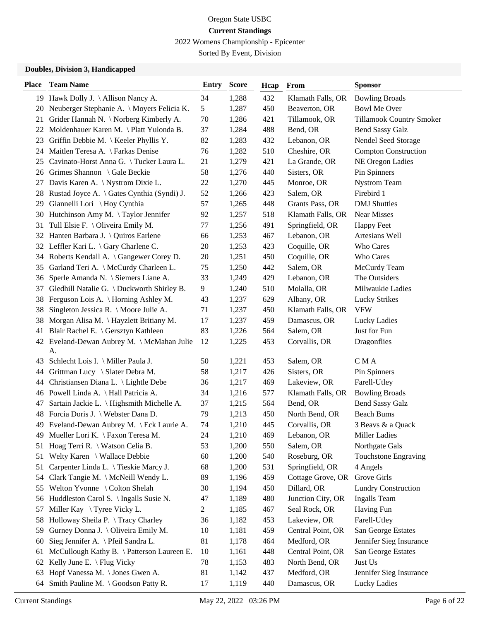2022 Womens Championship - Epicenter

Sorted By Event, Division

### **Doubles, Division 3, Handicapped**

| <b>Place</b> | <b>Team Name</b>                                | <b>Entry</b>   | <b>Score</b> | Hcap | From              | <b>Sponsor</b>              |
|--------------|-------------------------------------------------|----------------|--------------|------|-------------------|-----------------------------|
|              | 19 Hawk Dolly J. \ Allison Nancy A.             | 34             | 1,288        | 432  | Klamath Falls, OR | <b>Bowling Broads</b>       |
| 20           | Neuberger Stephanie A. \ Moyers Felicia K.      | 5              | 1,287        | 450  | Beaverton, OR     | <b>Bowl Me Over</b>         |
| 21           | Grider Hannah N. \ Norberg Kimberly A.          | 70             | 1,286        | 421  | Tillamook, OR     | Tillamook Country Smoker    |
| 22           | Moldenhauer Karen M. \ Platt Yulonda B.         | 37             | 1,284        | 488  | Bend, OR          | <b>Bend Sassy Galz</b>      |
| 23           | Griffin Debbie M. $\setminus$ Keeler Phyllis Y. | 82             | 1,283        | 432  | Lebanon, OR       | Nendel Seed Storage         |
| 24           | Maitlen Teresa A. \ Farkas Denise               | 76             | 1,282        | 510  | Cheshire, OR      | <b>Compton Construction</b> |
| 25           | Cavinato-Horst Anna G. \Tucker Laura L.         | 21             | 1,279        | 421  | La Grande, OR     | NE Oregon Ladies            |
| 26           | Grimes Shannon \ Gale Beckie                    | 58             | 1,276        | 440  | Sisters, OR       | Pin Spinners                |
| 27           | Davis Karen A. \ Nystrom Dixie L.               | 22             | 1,270        | 445  | Monroe, OR        | <b>Nystrom Team</b>         |
| 28           | Rustad Joyce A. \ Gates Cynthia (Syndi) J.      | 52             | 1,266        | 423  | Salem, OR         | Firebird 1                  |
| 29           | Giannelli Lori \ Hoy Cynthia                    | 57             | 1,265        | 448  | Grants Pass, OR   | <b>DMJ</b> Shuttles         |
| 30           | Hutchinson Amy M. \Taylor Jennifer              | 92             | 1,257        | 518  | Klamath Falls, OR | <b>Near Misses</b>          |
| 31           | Tull Elsie F. \ Oliveira Emily M.               | 77             | 1,256        | 491  | Springfield, OR   | <b>Happy Feet</b>           |
| 32           | Hanten Barbara J. \ Quiros Earlene              | 66             | 1,253        | 467  | Lebanon, OR       | Artesians Well              |
|              | 32 Leffler Kari L. \Gary Charlene C.            | 20             | 1,253        | 423  | Coquille, OR      | Who Cares                   |
| 34           | Roberts Kendall A. \ Gangewer Corey D.          | 20             | 1,251        | 450  | Coquille, OR      | Who Cares                   |
| 35           | Garland Teri A. \ McCurdy Charleen L.           | 75             | 1,250        | 442  | Salem, OR         | McCurdy Team                |
| 36           | Sperle Amanda N. \ Siemers Liane A.             | 33             | 1,249        | 429  | Lebanon, OR       | The Outsiders               |
| 37           | Gledhill Natalie G. \ Duckworth Shirley B.      | 9              | 1,240        | 510  | Molalla, OR       | Milwaukie Ladies            |
| 38           | Ferguson Lois A. \ Horning Ashley M.            | 43             | 1,237        | 629  | Albany, OR        | <b>Lucky Strikes</b>        |
| 38           | Singleton Jessica R. \ Moore Julie A.           | 71             | 1,237        | 450  | Klamath Falls, OR | <b>VFW</b>                  |
| 38           | Morgan Alisa M. \Hayzlett Britiany M.           | 17             | 1,237        | 459  | Damascus, OR      | Lucky Ladies                |
| 41           | Blair Rachel E. \ Gersztyn Kathleen             | 83             | 1,226        | 564  | Salem, OR         | Just for Fun                |
| 42           | Eveland-Dewan Aubrey M. \ McMahan Julie<br>A.   | 12             | 1,225        | 453  | Corvallis, OR     | Dragonflies                 |
| 43           | Schlecht Lois I. \ Miller Paula J.              | 50             | 1,221        | 453  | Salem, OR         | C M A                       |
| 44           | Grittman Lucy \ Slater Debra M.                 | 58             | 1,217        | 426  | Sisters, OR       | Pin Spinners                |
| 44           | Christiansen Diana L. \ Lightle Debe            | 36             | 1,217        | 469  | Lakeview, OR      | Farell-Utley                |
| 46           | Powell Linda A. \ Hall Patricia A.              | 34             | 1,216        | 577  | Klamath Falls, OR | <b>Bowling Broads</b>       |
| 47           | Sartain Jackie L. \ Highsmith Michelle A.       | 37             | 1,215        | 564  | Bend, OR          | <b>Bend Sassy Galz</b>      |
| 48           | Forcia Doris J. \ Webster Dana D.               | 79             | 1,213        | 450  | North Bend, OR    | <b>Beach Bums</b>           |
| 49           | Eveland-Dewan Aubrey M. \ Eck Laurie A.         | 74             | 1,210        | 445  | Corvallis, OR     | 3 Beavs & a Quack           |
| 49           | Mueller Lori K. \ Faxon Teresa M.               | 24             | 1,210        | 469  | Lebanon, OR       | <b>Miller Ladies</b>        |
| 51           | Hoag Terri R. \ Watson Celia B.                 | 53             | 1,200        | 550  | Salem, OR         | Northgate Gals              |
| 51           | Welty Karen \ Wallace Debbie                    | 60             | 1,200        | 540  | Roseburg, OR      | Touchstone Engraving        |
| 51           | Carpenter Linda L. \Tieskie Marcy J.            | 68             | 1,200        | 531  | Springfield, OR   | 4 Angels                    |
| 54           | Clark Tangie M. \ McNeill Wendy L.              | 89             | 1,196        | 459  | Cottage Grove, OR | Grove Girls                 |
| 55           | Welton Yvonne \ Colton Shelah                   | 30             | 1,194        | 450  | Dillard, OR       | <b>Lundry Construction</b>  |
| 56           | Huddleston Carol S. \ Ingalls Susie N.          | 47             | 1,189        | 480  | Junction City, OR | <b>Ingalls Team</b>         |
| 57           | Miller Kay \ Tyree Vicky L.                     | $\overline{2}$ | 1,185        | 467  | Seal Rock, OR     | Having Fun                  |
| 58           | Holloway Sheila P. \Tracy Charley               | 36             | 1,182        | 453  | Lakeview, OR      | Farell-Utley                |
| 59           | Gurney Donna J. \ Oliveira Emily M.             | 10             | 1,181        | 459  | Central Point, OR | San George Estates          |
| 60           | Sieg Jennifer A. \ Pfeil Sandra L.              | 81             | 1,178        | 464  | Medford, OR       | Jennifer Sieg Insurance     |
| 61           | McCullough Kathy B. \ Patterson Laureen E.      | 10             | 1,161        | 448  | Central Point, OR | San George Estates          |
| 62           | Kelly June E. \ Flug Vicky                      | 78             | 1,153        | 483  | North Bend, OR    | Just Us                     |
| 63           | Hopf Vanessa M. \ Jones Gwen A.                 | 81             | 1,142        | 437  | Medford, OR       | Jennifer Sieg Insurance     |
| 64           | Smith Pauline M. \ Goodson Patty R.             | 17             | 1,119        | 440  | Damascus, OR      | Lucky Ladies                |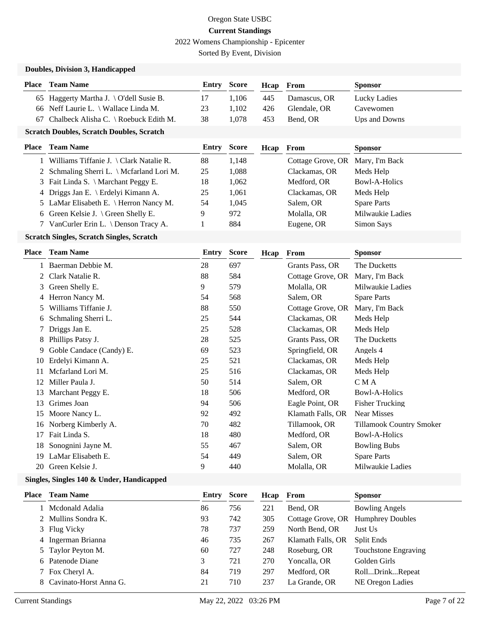2022 Womens Championship - Epicenter

Sorted By Event, Division

#### **Doubles, Division 3, Handicapped**

| <b>Place</b> | <b>Team Name</b>                                   | <b>Entry Score</b> |       | Heap From |              | <b>Sponsor</b> |
|--------------|----------------------------------------------------|--------------------|-------|-----------|--------------|----------------|
|              | 65 Haggerty Martha J. $\overline{O}$ dell Susie B. | -17                | 1.106 | 445       | Damascus, OR | Lucky Ladies   |
|              | 66 Neff Laurie L. \ Wallace Linda M.               | 23                 | 1.102 | 426       | Glendale, OR | Cavewomen      |
|              | 67 Chalbeck Alisha C. \ Roebuck Edith M.           | 38                 | 1.078 | 453       | Bend, OR     | Ups and Downs  |

#### **Scratch Doubles, Scratch Doubles, Scratch**

| <b>Place</b> Team Name                      | <b>Entry Score</b> |       | Hcap | From                             | <b>Sponsor</b>     |
|---------------------------------------------|--------------------|-------|------|----------------------------------|--------------------|
| 1 Williams Tiffanie J. \ Clark Natalie R.   | 88                 | 1.148 |      | Cottage Grove, OR Mary, I'm Back |                    |
| 2 Schmaling Sherri L. \ Mcfarland Lori M.   | 25                 | 1.088 |      | Clackamas, OR                    | Meds Help          |
| 3 Fait Linda S. \ Marchant Peggy E.         | 18                 | 1.062 |      | Medford, OR                      | Bowl-A-Holics      |
| 4 Driggs Jan E. \ Erdelyi Kimann A.         | 25                 | 1.061 |      | Clackamas, OR                    | Meds Help          |
| 5 LaMar Elisabeth E. \ Herron Nancy M.      | 54                 | 1.045 |      | Salem, OR                        | <b>Spare Parts</b> |
| 6 Green Kelsie J. $\langle$ Green Shelly E. | 9                  | 972   |      | Molalla, OR                      | Milwaukie Ladies   |
| 7 VanCurler Erin L. \ Denson Tracy A.       |                    | 884   |      | Eugene, OR                       | Simon Says         |

#### **Scratch Singles, Scratch Singles, Scratch**

| Place | <b>Team Name</b>         | <b>Entry</b> | <b>Score</b> | Hcap | From              | <b>Sponsor</b>           |
|-------|--------------------------|--------------|--------------|------|-------------------|--------------------------|
|       | Baerman Debbie M.        | 28           | 697          |      | Grants Pass, OR   | The Ducketts             |
| 2     | Clark Natalie R.         | 88           | 584          |      | Cottage Grove, OR | Mary, I'm Back           |
| 3     | Green Shelly E.          | 9            | 579          |      | Molalla, OR       | Milwaukie Ladies         |
|       | 4 Herron Nancy M.        | 54           | 568          |      | Salem, OR         | <b>Spare Parts</b>       |
| 5.    | Williams Tiffanie J.     | 88           | 550          |      | Cottage Grove, OR | Mary, I'm Back           |
| 6     | Schmaling Sherri L.      | 25           | 544          |      | Clackamas, OR     | Meds Help                |
|       | Driggs Jan E.            | 25           | 528          |      | Clackamas, OR     | Meds Help                |
| 8     | Phillips Patsy J.        | 28           | 525          |      | Grants Pass, OR   | The Ducketts             |
| 9.    | Goble Candace (Candy) E. | 69           | 523          |      | Springfield, OR   | Angels 4                 |
| 10    | Erdelyi Kimann A.        | 25           | 521          |      | Clackamas, OR     | Meds Help                |
| 11    | Mcfarland Lori M.        | 25           | 516          |      | Clackamas, OR     | Meds Help                |
| 12    | Miller Paula J.          | 50           | 514          |      | Salem, OR         | C M A                    |
| 13    | Marchant Peggy E.        | 18           | 506          |      | Medford, OR       | <b>Bowl-A-Holics</b>     |
| 13    | Grimes Joan              | 94           | 506          |      | Eagle Point, OR   | <b>Fisher Trucking</b>   |
| 15    | Moore Nancy L.           | 92           | 492          |      | Klamath Falls, OR | <b>Near Misses</b>       |
| 16    | Norberg Kimberly A.      | 70           | 482          |      | Tillamook, OR     | Tillamook Country Smoker |
| 17    | Fait Linda S.            | 18           | 480          |      | Medford, OR       | Bowl-A-Holics            |
| 18    | Sonognini Jayne M.       | 55           | 467          |      | Salem, OR         | <b>Bowling Bubs</b>      |
| 19    | LaMar Elisabeth E.       | 54           | 449          |      | Salem, OR         | <b>Spare Parts</b>       |
| 20    | Green Kelsie J.          | 9            | 440          |      | Molalla, OR       | Milwaukie Ladies         |

### **Singles, Singles 140 & Under, Handicapped**

| <b>Place</b> | <b>Team Name</b>         |    | <b>Entry Score</b> | Hcap | From              | <b>Sponsor</b>          |
|--------------|--------------------------|----|--------------------|------|-------------------|-------------------------|
|              | Mcdonald Adalia          | 86 | 756                | 221  | Bend, OR          | <b>Bowling Angels</b>   |
|              | 2 Mullins Sondra K.      | 93 | 742                | 305  | Cottage Grove, OR | <b>Humphrey Doubles</b> |
|              | 3 Flug Vicky             | 78 | 737                | 259  | North Bend, OR    | Just Us                 |
|              | 4 Ingerman Brianna       | 46 | 735                | 267  | Klamath Falls, OR | <b>Split Ends</b>       |
|              | 5 Taylor Peyton M.       | 60 | 727                | 248  | Roseburg, OR      | Touchstone Engraving    |
|              | 6 Patenode Diane         | 3  | 721                | 270  | Yoncalla, OR      | Golden Girls            |
|              | 7 Fox Cheryl A.          | 84 | 719                | 297  | Medford, OR       | RollDrinkRepeat         |
|              | 8 Cavinato-Horst Anna G. | 21 | 710                | 237  | La Grande, OR     | NE Oregon Ladies        |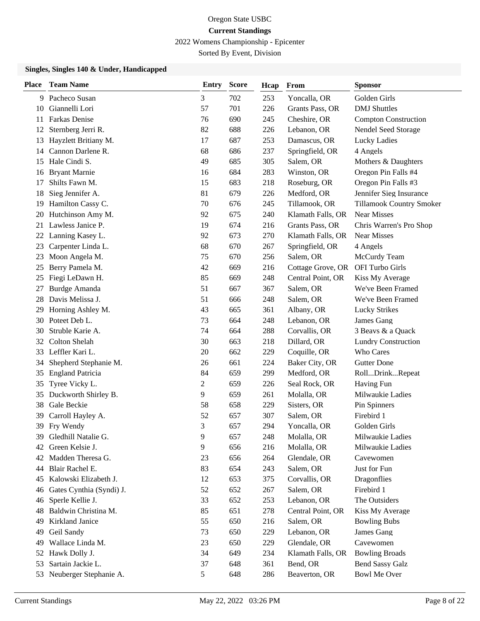2022 Womens Championship - Epicenter

Sorted By Event, Division

### **Singles, Singles 140 & Under, Handicapped**

| <b>Place</b> | <b>Team Name</b>         | Entry | <b>Score</b> | Hcap | From              | <b>Sponsor</b>              |
|--------------|--------------------------|-------|--------------|------|-------------------|-----------------------------|
| 9.           | Pacheco Susan            | 3     | 702          | 253  | Yoncalla, OR      | Golden Girls                |
| 10           | Giannelli Lori           | 57    | 701          | 226  | Grants Pass, OR   | <b>DMJ</b> Shuttles         |
| 11           | Farkas Denise            | 76    | 690          | 245  | Cheshire, OR      | <b>Compton Construction</b> |
| 12           | Sternberg Jerri R.       | 82    | 688          | 226  | Lebanon, OR       | Nendel Seed Storage         |
| 13           | Hayzlett Britiany M.     | 17    | 687          | 253  | Damascus, OR      | Lucky Ladies                |
| 14           | Cannon Darlene R.        | 68    | 686          | 237  | Springfield, OR   | 4 Angels                    |
| 15           | Hale Cindi S.            | 49    | 685          | 305  | Salem, OR         | Mothers & Daughters         |
| 16           | <b>Bryant Marnie</b>     | 16    | 684          | 283  | Winston, OR       | Oregon Pin Falls #4         |
| 17           | Shilts Fawn M.           | 15    | 683          | 218  | Roseburg, OR      | Oregon Pin Falls #3         |
| 18           | Sieg Jennifer A.         | 81    | 679          | 226  | Medford, OR       | Jennifer Sieg Insurance     |
| 19           | Hamilton Cassy C.        | 70    | 676          | 245  | Tillamook, OR     | Tillamook Country Smoker    |
| 20           | Hutchinson Amy M.        | 92    | 675          | 240  | Klamath Falls, OR | <b>Near Misses</b>          |
| 21           | Lawless Janice P.        | 19    | 674          | 216  | Grants Pass, OR   | Chris Warren's Pro Shop     |
| 22           | Lanning Kasey L.         | 92    | 673          | 270  | Klamath Falls, OR | <b>Near Misses</b>          |
| 23           | Carpenter Linda L.       | 68    | 670          | 267  | Springfield, OR   | 4 Angels                    |
| 23           | Moon Angela M.           | 75    | 670          | 256  | Salem, OR         | McCurdy Team                |
| 25           | Berry Pamela M.          | 42    | 669          | 216  | Cottage Grove, OR | OFI Turbo Girls             |
| 25           | Fiegi LeDawn H.          | 85    | 669          | 248  | Central Point, OR | Kiss My Average             |
| 27           | Burdge Amanda            | 51    | 667          | 367  | Salem, OR         | We've Been Framed           |
| 28           | Davis Melissa J.         | 51    | 666          | 248  | Salem, OR         | We've Been Framed           |
| 29           | Horning Ashley M.        | 43    | 665          | 361  | Albany, OR        | <b>Lucky Strikes</b>        |
| 30-          | Poteet Deb L.            | 73    | 664          | 248  | Lebanon, OR       | James Gang                  |
| 30           | Struble Karie A.         | 74    | 664          | 288  | Corvallis, OR     | 3 Beavs & a Quack           |
| 32           | <b>Colton Shelah</b>     | 30    | 663          | 218  | Dillard, OR       | <b>Lundry Construction</b>  |
| 33           | Leffler Kari L.          | 20    | 662          | 229  | Coquille, OR      | Who Cares                   |
| 34           | Shepherd Stephanie M.    | 26    | 661          | 224  | Baker City, OR    | <b>Gutter Done</b>          |
| 35           | <b>England Patricia</b>  | 84    | 659          | 299  | Medford, OR       | RollDrinkRepeat             |
| 35           | Tyree Vicky L.           | 2     | 659          | 226  | Seal Rock, OR     | Having Fun                  |
| 35           | Duckworth Shirley B.     | 9     | 659          | 261  | Molalla, OR       | Milwaukie Ladies            |
| 38           | Gale Beckie              | 58    | 658          | 229  | Sisters, OR       | Pin Spinners                |
| 39           | Carroll Hayley A.        | 52    | 657          | 307  | Salem, OR         | Firebird 1                  |
| 39           | Fry Wendy                | 3     | 657          | 294  | Yoncalla, OR      | Golden Girls                |
| 39.          | Gledhill Natalie G.      | 9     | 657          | 248  | Molalla, OR       | Milwaukie Ladies            |
| 42           | Green Kelsie J.          | 9     | 656          | 216  | Molalla, OR       | Milwaukie Ladies            |
| 42           | Madden Theresa G.        | 23    | 656          | 264  | Glendale, OR      | Cavewomen                   |
| 44           | Blair Rachel E.          | 83    | 654          | 243  | Salem, OR         | Just for Fun                |
| 45           | Kalowski Elizabeth J.    | 12    | 653          | 375  | Corvallis, OR     | Dragonflies                 |
| 46           | Gates Cynthia (Syndi) J. | 52    | 652          | 267  | Salem, OR         | Firebird 1                  |
| 46           | Sperle Kellie J.         | 33    | 652          | 253  | Lebanon, OR       | The Outsiders               |
| 48           | Baldwin Christina M.     | 85    | 651          | 278  | Central Point, OR | Kiss My Average             |
| 49           | Kirkland Janice          | 55    | 650          | 216  | Salem, OR         | <b>Bowling Bubs</b>         |
| 49           | Geil Sandy               | 73    | 650          | 229  | Lebanon, OR       | James Gang                  |
| 49           | Wallace Linda M.         | 23    | 650          | 229  | Glendale, OR      | Cavewomen                   |
| 52           | Hawk Dolly J.            | 34    | 649          | 234  | Klamath Falls, OR | <b>Bowling Broads</b>       |
| 53           | Sartain Jackie L.        | 37    | 648          | 361  | Bend, OR          | <b>Bend Sassy Galz</b>      |
| 53           | Neuberger Stephanie A.   | 5     | 648          | 286  | Beaverton, OR     | <b>Bowl Me Over</b>         |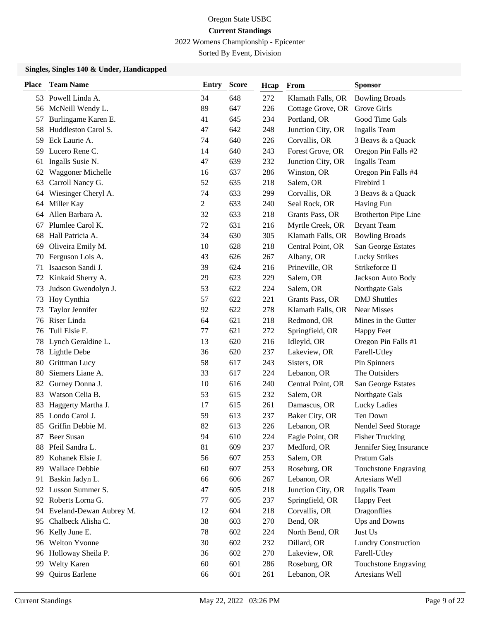2022 Womens Championship - Epicenter

Sorted By Event, Division

### **Singles, Singles 140 & Under, Handicapped**

| <b>Place</b> | <b>Team Name</b>        | <b>Entry</b>   | <b>Score</b> | Hcap | From              | <b>Sponsor</b>              |
|--------------|-------------------------|----------------|--------------|------|-------------------|-----------------------------|
|              | 53 Powell Linda A.      | 34             | 648          | 272  | Klamath Falls, OR | <b>Bowling Broads</b>       |
| 56           | McNeill Wendy L.        | 89             | 647          | 226  | Cottage Grove, OR | Grove Girls                 |
| 57           | Burlingame Karen E.     | 41             | 645          | 234  | Portland, OR      | Good Time Gals              |
| 58           | Huddleston Carol S.     | 47             | 642          | 248  | Junction City, OR | <b>Ingalls</b> Team         |
| 59           | Eck Laurie A.           | 74             | 640          | 226  | Corvallis, OR     | 3 Beavs & a Quack           |
| 59           | Lucero Rene C.          | 14             | 640          | 243  | Forest Grove, OR  | Oregon Pin Falls #2         |
| 61           | Ingalls Susie N.        | 47             | 639          | 232  | Junction City, OR | <b>Ingalls</b> Team         |
| 62           | Waggoner Michelle       | 16             | 637          | 286  | Winston, OR       | Oregon Pin Falls #4         |
| 63           | Carroll Nancy G.        | 52             | 635          | 218  | Salem, OR         | Firebird 1                  |
| 64           | Wiesinger Cheryl A.     | 74             | 633          | 299  | Corvallis, OR     | 3 Beavs & a Quack           |
| 64           | Miller Kay              | $\overline{2}$ | 633          | 240  | Seal Rock, OR     | Having Fun                  |
| 64           | Allen Barbara A.        | 32             | 633          | 218  | Grants Pass, OR   | <b>Brotherton Pipe Line</b> |
| 67           | Plumlee Carol K.        | 72             | 631          | 216  | Myrtle Creek, OR  | <b>Bryant Team</b>          |
| 68           | Hall Patricia A.        | 34             | 630          | 305  | Klamath Falls, OR | <b>Bowling Broads</b>       |
| 69           | Oliveira Emily M.       | 10             | 628          | 218  | Central Point, OR | San George Estates          |
| 70           | Ferguson Lois A.        | 43             | 626          | 267  | Albany, OR        | <b>Lucky Strikes</b>        |
| 71           | Isaacson Sandi J.       | 39             | 624          | 216  | Prineville, OR    | Strikeforce II              |
| 72           | Kinkaid Sherry A.       | 29             | 623          | 229  | Salem, OR         | Jackson Auto Body           |
| 73           | Judson Gwendolyn J.     | 53             | 622          | 224  | Salem, OR         | Northgate Gals              |
| 73           | Hoy Cynthia             | 57             | 622          | 221  | Grants Pass, OR   | <b>DMJ</b> Shuttles         |
| 73           | Taylor Jennifer         | 92             | 622          | 278  | Klamath Falls, OR | <b>Near Misses</b>          |
| 76           | Riser Linda             | 64             | 621          | 218  | Redmond, OR       | Mines in the Gutter         |
| 76           | Tull Elsie F.           | 77             | 621          | 272  | Springfield, OR   | <b>Happy Feet</b>           |
| 78           | Lynch Geraldine L.      | 13             | 620          | 216  | Idleyld, OR       | Oregon Pin Falls #1         |
| 78           | Lightle Debe            | 36             | 620          | 237  | Lakeview, OR      | Farell-Utley                |
| 80           | Grittman Lucy           | 58             | 617          | 243  | Sisters, OR       | Pin Spinners                |
| 80           | Siemers Liane A.        | 33             | 617          | 224  | Lebanon, OR       | The Outsiders               |
| 82           | Gurney Donna J.         | 10             | 616          | 240  | Central Point, OR | San George Estates          |
| 83           | Watson Celia B.         | 53             | 615          | 232  | Salem, OR         | Northgate Gals              |
| 83           | Haggerty Martha J.      | 17             | 615          | 261  | Damascus, OR      | Lucky Ladies                |
| 85           | Londo Carol J.          | 59             | 613          | 237  | Baker City, OR    | Ten Down                    |
| 85           | Griffin Debbie M.       | 82             | 613          | 226  | Lebanon, OR       | Nendel Seed Storage         |
| 87           | <b>Beer Susan</b>       | 94             | 610          | 224  | Eagle Point, OR   | <b>Fisher Trucking</b>      |
| 88           | Pfeil Sandra L.         | 81             | 609          | 237  | Medford, OR       | Jennifer Sieg Insurance     |
| 89           | Kohanek Elsie J.        | 56             | 607          | 253  | Salem, OR         | <b>Pratum Gals</b>          |
| 89           | Wallace Debbie          | 60             | 607          | 253  | Roseburg, OR      | Touchstone Engraving        |
| 91           | Baskin Jadyn L.         | 66             | 606          | 267  | Lebanon, OR       | Artesians Well              |
| 92           | Lusson Summer S.        | 47             | 605          | 218  | Junction City, OR | Ingalls Team                |
| 92           | Roberts Lorna G.        | 77             | 605          | 237  | Springfield, OR   | <b>Happy Feet</b>           |
| 94           | Eveland-Dewan Aubrey M. | 12             | 604          | 218  | Corvallis, OR     | <b>Dragonflies</b>          |
| 95           | Chalbeck Alisha C.      | 38             | 603          | 270  | Bend, OR          | Ups and Downs               |
| 96           | Kelly June E.           | 78             | 602          | 224  | North Bend, OR    | Just Us                     |
| 96           | Welton Yvonne           | 30             | 602          | 232  | Dillard, OR       | <b>Lundry Construction</b>  |
| 96           | Holloway Sheila P.      | 36             | 602          | 270  | Lakeview, OR      | Farell-Utley                |
| 99           | <b>Welty Karen</b>      | 60             | 601          | 286  | Roseburg, OR      | Touchstone Engraving        |
| 99           | Quiros Earlene          | 66             | 601          | 261  | Lebanon, OR       | Artesians Well              |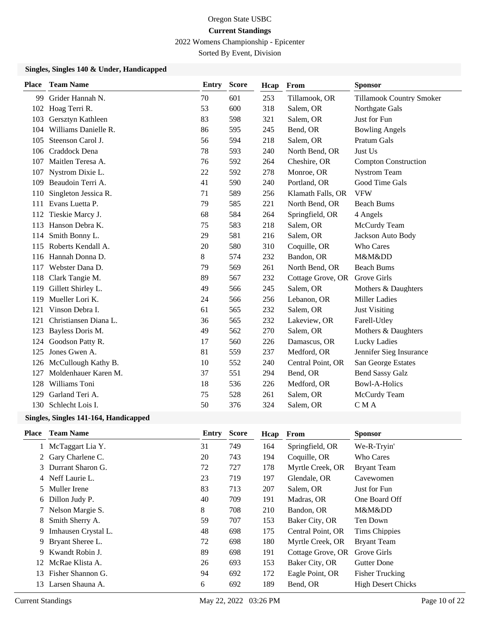2022 Womens Championship - Epicenter

Sorted By Event, Division

### **Singles, Singles 140 & Under, Handicapped**

| <b>Place</b> | <b>Team Name</b>      | <b>Entry</b> | <b>Score</b> | Hcap | From              | <b>Sponsor</b>                  |
|--------------|-----------------------|--------------|--------------|------|-------------------|---------------------------------|
| 99           | Grider Hannah N.      | 70           | 601          | 253  | Tillamook, OR     | <b>Tillamook Country Smoker</b> |
| 102          | Hoag Terri R.         | 53           | 600          | 318  | Salem, OR         | Northgate Gals                  |
| 103          | Gersztyn Kathleen     | 83           | 598          | 321  | Salem, OR         | Just for Fun                    |
| 104          | Williams Danielle R.  | 86           | 595          | 245  | Bend, OR          | <b>Bowling Angels</b>           |
| 105          | Steenson Carol J.     | 56           | 594          | 218  | Salem, OR         | Pratum Gals                     |
| 106          | Craddock Dena         | 78           | 593          | 240  | North Bend, OR    | Just Us                         |
| 107          | Maitlen Teresa A.     | 76           | 592          | 264  | Cheshire, OR      | <b>Compton Construction</b>     |
| 107          | Nystrom Dixie L.      | 22           | 592          | 278  | Monroe, OR        | <b>Nystrom Team</b>             |
| 109          | Beaudoin Terri A.     | 41           | 590          | 240  | Portland, OR      | Good Time Gals                  |
| 110          | Singleton Jessica R.  | 71           | 589          | 256  | Klamath Falls, OR | <b>VFW</b>                      |
| 111          | Evans Luetta P.       | 79           | 585          | 221  | North Bend, OR    | <b>Beach Bums</b>               |
| 112          | Tieskie Marcy J.      | 68           | 584          | 264  | Springfield, OR   | 4 Angels                        |
| 113          | Hanson Debra K.       | 75           | 583          | 218  | Salem, OR         | McCurdy Team                    |
| 114          | Smith Bonny L.        | 29           | 581          | 216  | Salem, OR         | Jackson Auto Body               |
| 115          | Roberts Kendall A.    | 20           | 580          | 310  | Coquille, OR      | Who Cares                       |
| 116          | Hannah Donna D.       | 8            | 574          | 232  | Bandon, OR        | M&Mⅅ                            |
| 117          | Webster Dana D.       | 79           | 569          | 261  | North Bend, OR    | <b>Beach Bums</b>               |
| 118          | Clark Tangie M.       | 89           | 567          | 232  | Cottage Grove, OR | Grove Girls                     |
| 119          | Gillett Shirley L.    | 49           | 566          | 245  | Salem, OR         | Mothers & Daughters             |
| 119          | Mueller Lori K.       | 24           | 566          | 256  | Lebanon, OR       | <b>Miller Ladies</b>            |
| 121          | Vinson Debra I.       | 61           | 565          | 232  | Salem, OR         | <b>Just Visiting</b>            |
| 121          | Christiansen Diana L. | 36           | 565          | 232  | Lakeview, OR      | Farell-Utley                    |
| 123          | Bayless Doris M.      | 49           | 562          | 270  | Salem, OR         | Mothers & Daughters             |
| 124          | Goodson Patty R.      | 17           | 560          | 226  | Damascus, OR      | Lucky Ladies                    |
| 125          | Jones Gwen A.         | 81           | 559          | 237  | Medford, OR       | Jennifer Sieg Insurance         |
| 126          | McCullough Kathy B.   | 10           | 552          | 240  | Central Point, OR | San George Estates              |
| 127          | Moldenhauer Karen M.  | 37           | 551          | 294  | Bend, OR          | <b>Bend Sassy Galz</b>          |
| 128          | Williams Toni         | 18           | 536          | 226  | Medford, OR       | <b>Bowl-A-Holics</b>            |
| 129          | Garland Teri A.       | 75           | 528          | 261  | Salem, OR         | McCurdy Team                    |
| 130          | Schlecht Lois I.      | 50           | 376          | 324  | Salem, OR         | CMA                             |

#### **Singles, Singles 141-164, Handicapped**

| <b>Place</b> | <b>Team Name</b>    | Entry | <b>Score</b> | Hcap | From              | <b>Sponsor</b>            |
|--------------|---------------------|-------|--------------|------|-------------------|---------------------------|
| 1            | McTaggart Lia Y.    | 31    | 749          | 164  | Springfield, OR   | We-R-Tryin'               |
|              | 2 Gary Charlene C.  | 20    | 743          | 194  | Coquille, OR      | Who Cares                 |
|              | 3 Durrant Sharon G. | 72    | 727          | 178  | Myrtle Creek, OR  | <b>Bryant Team</b>        |
|              | 4 Neff Laurie L.    | 23    | 719          | 197  | Glendale, OR      | Cavewomen                 |
|              | 5 Muller Irene      | 83    | 713          | 207  | Salem, OR         | Just for Fun              |
| 6            | Dillon Judy P.      | 40    | 709          | 191  | Madras, OR        | One Board Off             |
|              | Nelson Margie S.    | 8     | 708          | 210  | Bandon, OR        | M&Mⅅ                      |
| 8            | Smith Sherry A.     | 59    | 707          | 153  | Baker City, OR    | Ten Down                  |
| 9            | Imhausen Crystal L. | 48    | 698          | 175  | Central Point, OR | <b>Tims Chippies</b>      |
| 9            | Bryant Sheree L.    | 72    | 698          | 180  | Myrtle Creek, OR  | <b>Bryant Team</b>        |
| 9            | Kwandt Robin J.     | 89    | 698          | 191  | Cottage Grove, OR | Grove Girls               |
| 12           | McRae Klista A.     | 26    | 693          | 153  | Baker City, OR    | <b>Gutter Done</b>        |
| 13.          | Fisher Shannon G.   | 94    | 692          | 172  | Eagle Point, OR   | <b>Fisher Trucking</b>    |
|              | 13 Larsen Shauna A. | 6     | 692          | 189  | Bend, OR          | <b>High Desert Chicks</b> |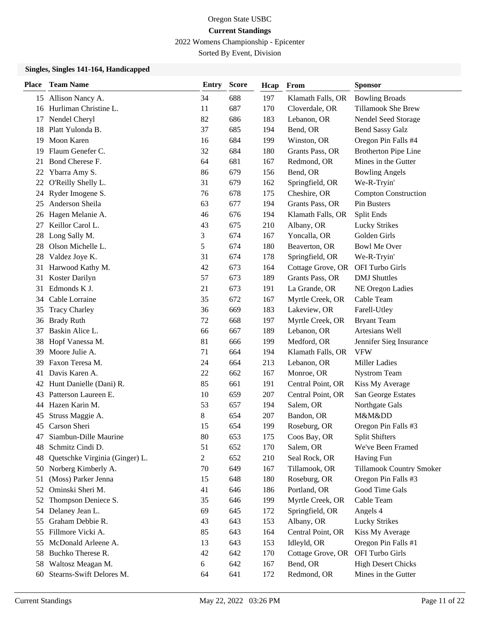2022 Womens Championship - Epicenter

Sorted By Event, Division

### **Singles, Singles 141-164, Handicapped**

| <b>Place</b> | <b>Team Name</b>                                | <b>Entry</b>   | <b>Score</b> | Hcap       | From                              | <b>Sponsor</b>                        |
|--------------|-------------------------------------------------|----------------|--------------|------------|-----------------------------------|---------------------------------------|
|              | 15 Allison Nancy A.                             | 34             | 688          | 197        | Klamath Falls, OR                 | <b>Bowling Broads</b>                 |
| 16           | Hurliman Christine L.                           | 11             | 687          | 170        | Cloverdale, OR                    | <b>Tillamook She Brew</b>             |
| 17           | Nendel Cheryl                                   | 82             | 686          | 183        | Lebanon, OR                       | Nendel Seed Storage                   |
| 18           | Platt Yulonda B.                                | 37             | 685          | 194        | Bend, OR                          | <b>Bend Sassy Galz</b>                |
| 19           | Moon Karen                                      | 16             | 684          | 199        | Winston, OR                       | Oregon Pin Falls #4                   |
| 19           | Flaum Genefer C.                                | 32             | 684          | 180        | Grants Pass, OR                   | <b>Brotherton Pipe Line</b>           |
| 21           | Bond Cherese F.                                 | 64             | 681          | 167        | Redmond, OR                       | Mines in the Gutter                   |
| 22           | Ybarra Amy S.                                   | 86             | 679          | 156        | Bend, OR                          | <b>Bowling Angels</b>                 |
| 22           | O'Reilly Shelly L.                              | 31             | 679          | 162        | Springfield, OR                   | We-R-Tryin'                           |
| 24           | Ryder Imogene S.                                | 76             | 678          | 175        | Cheshire, OR                      | <b>Compton Construction</b>           |
| 25           | Anderson Sheila                                 | 63             | 677          | 194        | Grants Pass, OR                   | <b>Pin Busters</b>                    |
| 26           | Hagen Melanie A.                                | 46             | 676          | 194        | Klamath Falls, OR                 | Split Ends                            |
| 27           | Keillor Carol L.                                | 43             | 675          | 210        | Albany, OR                        | <b>Lucky Strikes</b>                  |
| 28           | Long Sally M.                                   | 3              | 674          | 167        | Yoncalla, OR                      | Golden Girls                          |
| 28           | Olson Michelle L.                               | 5              | 674          | 180        | Beaverton, OR                     | <b>Bowl Me Over</b>                   |
| 28           | Valdez Joye K.                                  | 31             | 674          | 178        | Springfield, OR                   | We-R-Tryin'                           |
| 31           | Harwood Kathy M.                                | 42             | 673          | 164        | Cottage Grove, OR                 | OFI Turbo Girls                       |
| 31           | Koster Darilyn                                  | 57             | 673          | 189        | Grants Pass, OR                   | <b>DMJ</b> Shuttles                   |
| 31           | Edmonds K J.                                    | 21             | 673          | 191        | La Grande, OR                     | NE Oregon Ladies                      |
| 34           | Cable Lorraine                                  | 35             | 672          | 167        | Myrtle Creek, OR                  | Cable Team                            |
| 35           | <b>Tracy Charley</b>                            | 36             | 669          | 183        | Lakeview, OR                      | Farell-Utley                          |
| 36           | <b>Brady Ruth</b>                               | 72             | 668          | 197        | Myrtle Creek, OR                  | <b>Bryant Team</b>                    |
| 37           | Baskin Alice L.                                 | 66             | 667          | 189        | Lebanon, OR                       | Artesians Well                        |
| 38           | Hopf Vanessa M.                                 | 81             | 666          | 199        | Medford, OR                       | Jennifer Sieg Insurance               |
| 39           | Moore Julie A.                                  | 71             | 664          | 194        | Klamath Falls, OR                 | <b>VFW</b>                            |
| 39           | Faxon Teresa M.                                 | 24             | 664          | 213        | Lebanon, OR                       | <b>Miller Ladies</b>                  |
| 41           | Davis Karen A.                                  | 22             | 662          | $167\,$    | Monroe, OR                        | <b>Nystrom Team</b>                   |
| 42           | Hunt Danielle (Dani) R.<br>Patterson Laureen E. | 85<br>10       | 661<br>659   | 191        | Central Point, OR                 | Kiss My Average<br>San George Estates |
| 43           | Hazen Karin M.                                  | 53             | 657          | 207<br>194 | Central Point, OR<br>Salem, OR    |                                       |
| 44           | Struss Maggie A.                                | 8              | 654          | 207        | Bandon, OR                        | Northgate Gals<br>M&Mⅅ                |
| 45<br>45     | Carson Sheri                                    | 15             | 654          | 199        | Roseburg, OR                      | Oregon Pin Falls #3                   |
| 47           | Siambun-Dille Maurine                           | 80             | 653          | 175        | Coos Bay, OR                      | <b>Split Shifters</b>                 |
| 48           | Schmitz Cindi D.                                | 51             | 652          | 170        | Salem, OR                         | We've Been Framed                     |
| 48           | Quetschke Virginia (Ginger) L.                  | $\overline{c}$ | 652          | 210        | Seal Rock, OR                     | Having Fun                            |
| 50           | Norberg Kimberly A.                             | 70             | 649          | 167        | Tillamook, OR                     | <b>Tillamook Country Smoker</b>       |
| 51           | (Moss) Parker Jenna                             | 15             | 648          | 180        | Roseburg, OR                      | Oregon Pin Falls #3                   |
| 52           | Ominski Sheri M.                                | 41             | 646          | 186        | Portland, OR                      | Good Time Gals                        |
| 52           | Thompson Deniece S.                             | 35             | 646          | 199        | Myrtle Creek, OR                  | Cable Team                            |
| 54           | Delaney Jean L.                                 | 69             | 645          | 172        | Springfield, OR                   | Angels 4                              |
| 55           | Graham Debbie R.                                | 43             | 643          | 153        | Albany, OR                        | <b>Lucky Strikes</b>                  |
| 55           | Fillmore Vicki A.                               | 85             | 643          | 164        | Central Point, OR                 | Kiss My Average                       |
| 55           | McDonald Arleene A.                             | 13             | 643          | 153        | Idleyld, OR                       | Oregon Pin Falls #1                   |
| 58           | Buchko Therese R.                               | 42             | 642          | 170        | Cottage Grove, OR OFI Turbo Girls |                                       |
| 58           | Waltosz Meagan M.                               | 6              | 642          | 167        | Bend, OR                          | <b>High Desert Chicks</b>             |
| 60           | Stearns-Swift Delores M.                        | 64             | 641          | 172        | Redmond, OR                       | Mines in the Gutter                   |
|              |                                                 |                |              |            |                                   |                                       |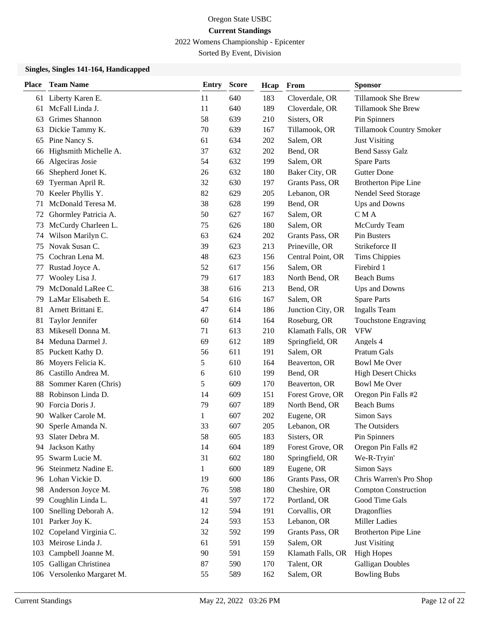2022 Womens Championship - Epicenter

Sorted By Event, Division

### **Singles, Singles 141-164, Handicapped**

| <b>Place</b> | <b>Team Name</b>       | <b>Entry</b> | <b>Score</b> | Hcap | From              | <b>Sponsor</b>              |
|--------------|------------------------|--------------|--------------|------|-------------------|-----------------------------|
| 61           | Liberty Karen E.       | 11           | 640          | 183  | Cloverdale, OR    | Tillamook She Brew          |
| 61           | McFall Linda J.        | 11           | 640          | 189  | Cloverdale, OR    | Tillamook She Brew          |
| 63           | Grimes Shannon         | 58           | 639          | 210  | Sisters, OR       | Pin Spinners                |
| 63           | Dickie Tammy K.        | 70           | 639          | 167  | Tillamook, OR     | Tillamook Country Smoker    |
| 65           | Pine Nancy S.          | 61           | 634          | 202  | Salem, OR         | <b>Just Visiting</b>        |
| 66           | Highsmith Michelle A.  | 37           | 632          | 202  | Bend, OR          | <b>Bend Sassy Galz</b>      |
| 66           | Algeciras Josie        | 54           | 632          | 199  | Salem, OR         | <b>Spare Parts</b>          |
| 66           | Shepherd Jonet K.      | 26           | 632          | 180  | Baker City, OR    | <b>Gutter Done</b>          |
| 69           | Tyerman April R.       | 32           | 630          | 197  | Grants Pass, OR   | <b>Brotherton Pipe Line</b> |
| 70           | Keeler Phyllis Y.      | 82           | 629          | 205  | Lebanon, OR       | Nendel Seed Storage         |
| 71           | McDonald Teresa M.     | 38           | 628          | 199  | Bend, OR          | Ups and Downs               |
| 72           | Ghormley Patricia A.   | 50           | 627          | 167  | Salem, OR         | CMA                         |
| 73           | McCurdy Charleen L.    | 75           | 626          | 180  | Salem, OR         | McCurdy Team                |
| 74           | Wilson Marilyn C.      | 63           | 624          | 202  | Grants Pass, OR   | Pin Busters                 |
| 75           | Novak Susan C.         | 39           | 623          | 213  | Prineville, OR    | Strikeforce II              |
| 75           | Cochran Lena M.        | 48           | 623          | 156  | Central Point, OR | <b>Tims Chippies</b>        |
| 77           | Rustad Joyce A.        | 52           | 617          | 156  | Salem, OR         | Firebird 1                  |
| 77           | Wooley Lisa J.         | 79           | 617          | 183  | North Bend, OR    | <b>Beach Bums</b>           |
| 79           | McDonald LaRee C.      | 38           | 616          | 213  | Bend, OR          | Ups and Downs               |
| 79           | LaMar Elisabeth E.     | 54           | 616          | 167  | Salem, OR         | <b>Spare Parts</b>          |
| 81           | Arnett Brittani E.     | 47           | 614          | 186  | Junction City, OR | <b>Ingalls</b> Team         |
| 81           | Taylor Jennifer        | 60           | 614          | 164  | Roseburg, OR      | Touchstone Engraving        |
| 83           | Mikesell Donna M.      | 71           | 613          | 210  | Klamath Falls, OR | <b>VFW</b>                  |
| 84           | Meduna Darmel J.       | 69           | 612          | 189  | Springfield, OR   | Angels 4                    |
|              | 85 Puckett Kathy D.    | 56           | 611          | 191  | Salem, OR         | Pratum Gals                 |
| 86           | Moyers Felicia K.      | 5            | 610          | 164  | Beaverton, OR     | <b>Bowl Me Over</b>         |
| 86           | Castillo Andrea M.     | 6            | 610          | 199  | Bend, OR          | <b>High Desert Chicks</b>   |
| 88           | Sommer Karen (Chris)   | 5            | 609          | 170  | Beaverton, OR     | <b>Bowl Me Over</b>         |
| 88           | Robinson Linda D.      | 14           | 609          | 151  | Forest Grove, OR  | Oregon Pin Falls #2         |
| 90           | Forcia Doris J.        | 79           | 607          | 189  | North Bend, OR    | <b>Beach Bums</b>           |
| 90           | Walker Carole M.       | 1            | 607          | 202  | Eugene, OR        | Simon Says                  |
| 90           | Sperle Amanda N.       | 33           | 607          | 205  | Lebanon, OR       | The Outsiders               |
| 93.          | Slater Debra M.        | 58           | 605          | 183  | Sisters, OR       | Pin Spinners                |
| 94           | Jackson Kathy          | 14           | 604          | 189  | Forest Grove, OR  | Oregon Pin Falls #2         |
| 95           | Swarm Lucie M.         | 31           | 602          | 180  | Springfield, OR   | We-R-Tryin'                 |
| 96           | Steinmetz Nadine E.    | $\mathbf{1}$ | 600          | 189  | Eugene, OR        | Simon Says                  |
| 96           | Lohan Vickie D.        | 19           | 600          | 186  | Grants Pass, OR   | Chris Warren's Pro Shop     |
| 98           | Anderson Joyce M.      | 76           | 598          | 180  | Cheshire, OR      | <b>Compton Construction</b> |
| 99           | Coughlin Linda L.      | 41           | 597          | 172  | Portland, OR      | Good Time Gals              |
| 100          | Snelling Deborah A.    | 12           | 594          | 191  | Corvallis, OR     | Dragonflies                 |
| 101          | Parker Joy K.          | 24           | 593          | 153  | Lebanon, OR       | <b>Miller Ladies</b>        |
| 102          | Copeland Virginia C.   | 32           | 592          | 199  | Grants Pass, OR   | <b>Brotherton Pipe Line</b> |
| 103          | Meirose Linda J.       | 61           | 591          | 159  | Salem, OR         | <b>Just Visiting</b>        |
| 103          | Campbell Joanne M.     | 90           | 591          | 159  | Klamath Falls, OR | <b>High Hopes</b>           |
| 105          | Galligan Christinea    | 87           | 590          | 170  | Talent, OR        | <b>Galligan Doubles</b>     |
| 106          | Versolenko Margaret M. | 55           | 589          | 162  | Salem, OR         | <b>Bowling Bubs</b>         |
|              |                        |              |              |      |                   |                             |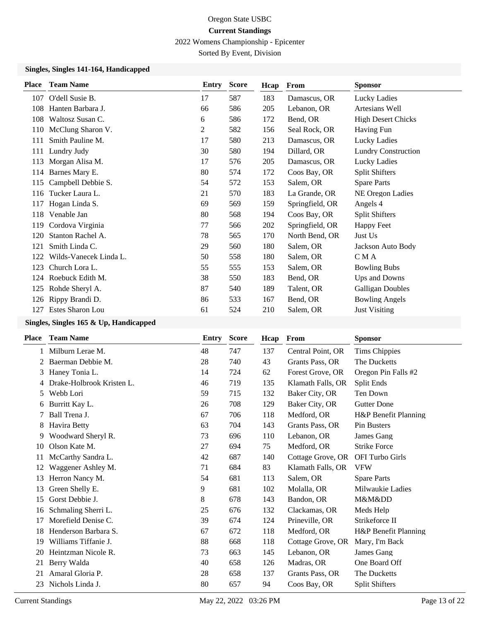2022 Womens Championship - Epicenter

Sorted By Event, Division

### **Singles, Singles 141-164, Handicapped**

| <b>Place</b> | <b>Team Name</b>       | Entry | <b>Score</b> | Hcap | From            | <b>Sponsor</b>             |
|--------------|------------------------|-------|--------------|------|-----------------|----------------------------|
| 107          | O'dell Susie B.        | 17    | 587          | 183  | Damascus, OR    | Lucky Ladies               |
| 108          | Hanten Barbara J.      | 66    | 586          | 205  | Lebanon, OR     | Artesians Well             |
| 108          | Waltosz Susan C.       | 6     | 586          | 172  | Bend, OR        | <b>High Desert Chicks</b>  |
| 110          | McClung Sharon V.      | 2     | 582          | 156  | Seal Rock, OR   | <b>Having Fun</b>          |
| 111          | Smith Pauline M.       | 17    | 580          | 213  | Damascus, OR    | Lucky Ladies               |
| 111          | Lundry Judy            | 30    | 580          | 194  | Dillard, OR     | <b>Lundry Construction</b> |
| 113          | Morgan Alisa M.        | 17    | 576          | 205  | Damascus, OR    | Lucky Ladies               |
| 114          | Barnes Mary E.         | 80    | 574          | 172  | Coos Bay, OR    | <b>Split Shifters</b>      |
| 115          | Campbell Debbie S.     | 54    | 572          | 153  | Salem, OR       | <b>Spare Parts</b>         |
| 116          | Tucker Laura L.        | 21    | 570          | 183  | La Grande, OR   | NE Oregon Ladies           |
| 117          | Hogan Linda S.         | 69    | 569          | 159  | Springfield, OR | Angels 4                   |
| 118          | Venable Jan            | 80    | 568          | 194  | Coos Bay, OR    | Split Shifters             |
| 119          | Cordova Virginia       | 77    | 566          | 202  | Springfield, OR | <b>Happy Feet</b>          |
| 120          | Stanton Rachel A.      | 78    | 565          | 170  | North Bend, OR  | Just Us                    |
| 121          | Smith Linda C.         | 29    | 560          | 180  | Salem, OR       | Jackson Auto Body          |
| 122          | Wilds-Vanecek Linda L. | 50    | 558          | 180  | Salem, OR       | C M A                      |
| 123          | Church Lora L.         | 55    | 555          | 153  | Salem, OR       | <b>Bowling Bubs</b>        |
| 124          | Roebuck Edith M.       | 38    | 550          | 183  | Bend, OR        | Ups and Downs              |
| 125          | Rohde Sheryl A.        | 87    | 540          | 189  | Talent, OR      | <b>Galligan Doubles</b>    |
| 126          | Rippy Brandi D.        | 86    | 533          | 167  | Bend, OR        | <b>Bowling Angels</b>      |
| 127          | Estes Sharon Lou       | 61    | 524          | 210  | Salem, OR       | <b>Just Visiting</b>       |
|              |                        |       |              |      |                 |                            |

# **Singles, Singles 165 & Up, Handicapped**

| <b>Place</b> | <b>Team Name</b>          | <b>Entry</b> | <b>Score</b> | Hcap | From              | <b>Sponsor</b>         |
|--------------|---------------------------|--------------|--------------|------|-------------------|------------------------|
|              | Milburn Lerae M.          | 48           | 747          | 137  | Central Point, OR | <b>Tims Chippies</b>   |
| 2            | Baerman Debbie M.         | 28           | 740          | 43   | Grants Pass, OR   | The Ducketts           |
| 3            | Haney Tonia L.            | 14           | 724          | 62   | Forest Grove, OR  | Oregon Pin Falls #2    |
| 4            | Drake-Holbrook Kristen L. | 46           | 719          | 135  | Klamath Falls, OR | Split Ends             |
| 5            | Webb Lori                 | 59           | 715          | 132  | Baker City, OR    | Ten Down               |
| 6            | Burritt Kay L.            | 26           | 708          | 129  | Baker City, OR    | <b>Gutter Done</b>     |
| 7            | Ball Trena J.             | 67           | 706          | 118  | Medford, OR       | H&P Benefit Planning   |
| 8            | Havira Betty              | 63           | 704          | 143  | Grants Pass, OR   | Pin Busters            |
| 9            | Woodward Sheryl R.        | 73           | 696          | 110  | Lebanon, OR       | James Gang             |
| 10           | Olson Kate M.             | 27           | 694          | 75   | Medford, OR       | <b>Strike Force</b>    |
| 11           | McCarthy Sandra L.        | 42           | 687          | 140  | Cottage Grove, OR | <b>OFI Turbo Girls</b> |
| 12           | Waggener Ashley M.        | 71           | 684          | 83   | Klamath Falls, OR | <b>VFW</b>             |
| 13           | Herron Nancy M.           | 54           | 681          | 113  | Salem, OR         | <b>Spare Parts</b>     |
| 13           | Green Shelly E.           | 9            | 681          | 102  | Molalla, OR       | Milwaukie Ladies       |
| 15           | Gorst Debbie J.           | 8            | 678          | 143  | Bandon, OR        | M&Mⅅ                   |
| 16           | Schmaling Sherri L.       | 25           | 676          | 132  | Clackamas, OR     | Meds Help              |
| 17           | Morefield Denise C.       | 39           | 674          | 124  | Prineville, OR    | Strikeforce II         |
| 18           | Henderson Barbara S.      | 67           | 672          | 118  | Medford, OR       | H&P Benefit Planning   |
| 19           | Williams Tiffanie J.      | 88           | 668          | 118  | Cottage Grove, OR | Mary, I'm Back         |
| 20           | Heintzman Nicole R.       | 73           | 663          | 145  | Lebanon, OR       | James Gang             |
| 21           | Berry Walda               | 40           | 658          | 126  | Madras, OR        | One Board Off          |
| 21           | Amaral Gloria P.          | 28           | 658          | 137  | Grants Pass, OR   | The Ducketts           |
| 23           | Nichols Linda J.          | 80           | 657          | 94   | Coos Bay, OR      | <b>Split Shifters</b>  |
|              |                           |              |              |      |                   |                        |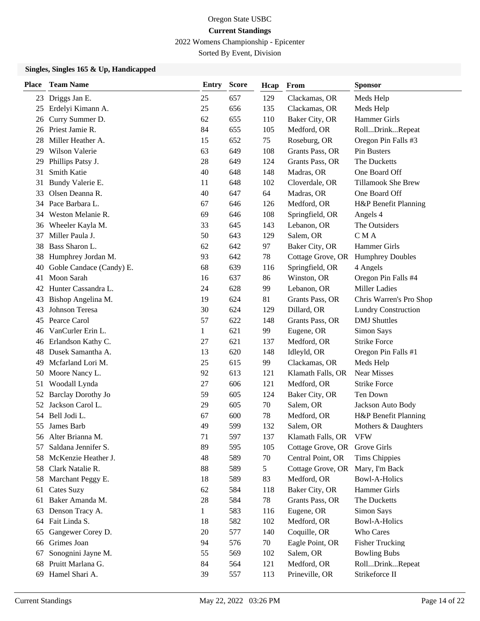2022 Womens Championship - Epicenter

Sorted By Event, Division

### **Singles, Singles 165 & Up, Handicapped**

| <b>Place</b> | <b>Team Name</b>          | <b>Entry</b> | <b>Score</b> | Hcap | From              | <b>Sponsor</b>             |
|--------------|---------------------------|--------------|--------------|------|-------------------|----------------------------|
| 23           | Driggs Jan E.             | 25           | 657          | 129  | Clackamas, OR     | Meds Help                  |
| 25           | Erdelyi Kimann A.         | 25           | 656          | 135  | Clackamas, OR     | Meds Help                  |
| 26           | Curry Summer D.           | 62           | 655          | 110  | Baker City, OR    | Hammer Girls               |
| 26           | Priest Jamie R.           | 84           | 655          | 105  | Medford, OR       | RollDrinkRepeat            |
| 28           | Miller Heather A.         | 15           | 652          | 75   | Roseburg, OR      | Oregon Pin Falls #3        |
| 29           | Wilson Valerie            | 63           | 649          | 108  | Grants Pass, OR   | Pin Busters                |
| 29           | Phillips Patsy J.         | 28           | 649          | 124  | Grants Pass, OR   | The Ducketts               |
| 31           | Smith Katie               | 40           | 648          | 148  | Madras, OR        | One Board Off              |
| 31           | Bundy Valerie E.          | 11           | 648          | 102  | Cloverdale, OR    | <b>Tillamook She Brew</b>  |
| 33           | Olsen Deanna R.           | 40           | 647          | 64   | Madras, OR        | One Board Off              |
| 34           | Pace Barbara L.           | 67           | 646          | 126  | Medford, OR       | H&P Benefit Planning       |
| 34           | Weston Melanie R.         | 69           | 646          | 108  | Springfield, OR   | Angels 4                   |
| 36           | Wheeler Kayla M.          | 33           | 645          | 143  | Lebanon, OR       | The Outsiders              |
| 37           | Miller Paula J.           | 50           | 643          | 129  | Salem, OR         | CMA                        |
| 38           | Bass Sharon L.            | 62           | 642          | 97   | Baker City, OR    | Hammer Girls               |
| 38           | Humphrey Jordan M.        | 93           | 642          | 78   | Cottage Grove, OR | <b>Humphrey Doubles</b>    |
| 40           | Goble Candace (Candy) E.  | 68           | 639          | 116  | Springfield, OR   | 4 Angels                   |
| 41           | Moon Sarah                | 16           | 637          | 86   | Winston, OR       | Oregon Pin Falls #4        |
| 42           | Hunter Cassandra L.       | 24           | 628          | 99   | Lebanon, OR       | <b>Miller Ladies</b>       |
| 43           | Bishop Angelina M.        | 19           | 624          | 81   | Grants Pass, OR   | Chris Warren's Pro Shop    |
| 43           | Johnson Teresa            | 30           | 624          | 129  | Dillard, OR       | <b>Lundry Construction</b> |
| 45           | Pearce Carol              | 57           | 622          | 148  | Grants Pass, OR   | <b>DMJ</b> Shuttles        |
| 46           | VanCurler Erin L.         | $\mathbf{1}$ | 621          | 99   | Eugene, OR        | Simon Says                 |
| 46           | Erlandson Kathy C.        | 27           | 621          | 137  | Medford, OR       | <b>Strike Force</b>        |
| 48           | Dusek Samantha A.         | 13           | 620          | 148  | Idleyld, OR       | Oregon Pin Falls #1        |
| 49           | Mcfarland Lori M.         | 25           | 615          | 99   | Clackamas, OR     | Meds Help                  |
| 50           | Moore Nancy L.            | 92           | 613          | 121  | Klamath Falls, OR | <b>Near Misses</b>         |
| 51           | Woodall Lynda             | 27           | 606          | 121  | Medford, OR       | <b>Strike Force</b>        |
| 52           | <b>Barclay Dorothy Jo</b> | 59           | 605          | 124  | Baker City, OR    | Ten Down                   |
| 52           | Jackson Carol L.          | 29           | 605          | 70   | Salem, OR         | Jackson Auto Body          |
| 54           | Bell Jodi L.              | 67           | 600          | 78   | Medford, OR       | H&P Benefit Planning       |
| 55           | James Barb                | 49           | 599          | 132  | Salem, OR         | Mothers & Daughters        |
|              | 56 Alter Brianna M.       | 71           | 597          | 137  | Klamath Falls, OR | <b>VFW</b>                 |
| 57           | Saldana Jennifer S.       | 89           | 595          | 105  | Cottage Grove, OR | Grove Girls                |
| 58           | McKenzie Heather J.       | 48           | 589          | 70   | Central Point, OR | <b>Tims Chippies</b>       |
| 58           | Clark Natalie R.          | 88           | 589          | 5    | Cottage Grove, OR | Mary, I'm Back             |
| 58           | Marchant Peggy E.         | 18           | 589          | 83   | Medford, OR       | <b>Bowl-A-Holics</b>       |
| 61           | <b>Cates Suzy</b>         | 62           | 584          | 118  | Baker City, OR    | <b>Hammer Girls</b>        |
| 61           | Baker Amanda M.           | 28           | 584          | 78   | Grants Pass, OR   | The Ducketts               |
| 63           | Denson Tracy A.           | $\mathbf{1}$ | 583          | 116  | Eugene, OR        | Simon Says                 |
| 64           | Fait Linda S.             | 18           | 582          | 102  | Medford, OR       | <b>Bowl-A-Holics</b>       |
| 65           | Gangewer Corey D.         | 20           | 577          | 140  | Coquille, OR      | Who Cares                  |
| 66           | Grimes Joan               | 94           | 576          | 70   | Eagle Point, OR   | <b>Fisher Trucking</b>     |
| 67           | Sonognini Jayne M.        | 55           | 569          | 102  | Salem, OR         | <b>Bowling Bubs</b>        |
| 68           | Pruitt Marlana G.         | 84           | 564          | 121  | Medford, OR       | RollDrinkRepeat            |
| 69           | Hamel Shari A.            | 39           | 557          | 113  | Prineville, OR    | Strikeforce II             |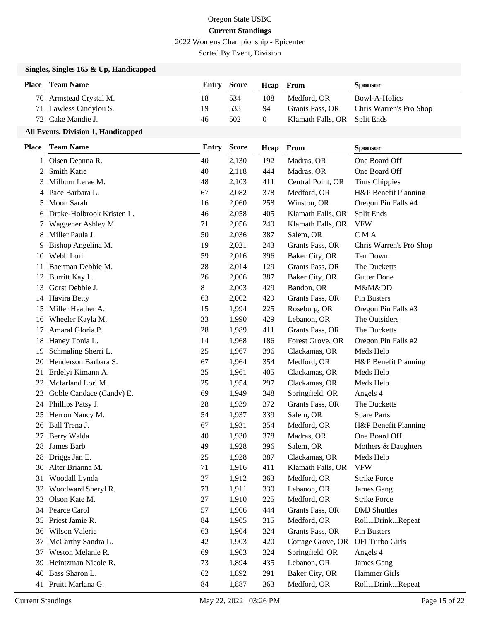2022 Womens Championship - Epicenter

Sorted By Event, Division

### **Singles, Singles 165 & Up, Handicapped**

| <b>Place</b> Team Name | <b>Entry Score</b> |     | <b>Heap</b> From |                              | <b>Sponsor</b>          |
|------------------------|--------------------|-----|------------------|------------------------------|-------------------------|
| 70 Armstead Crystal M. | 18                 | 534 | 108              | Medford, OR                  | Bowl-A-Holics           |
| 71 Lawless Cindylou S. | 19                 | 533 | 94               | Grants Pass, OR              | Chris Warren's Pro Shop |
| 72 Cake Mandie J.      | 46                 | 502 |                  | Klamath Falls, OR Split Ends |                         |

| Place | <b>Team Name</b>          | <b>Entry</b> | <b>Score</b> | Hcap | From              | <b>Sponsor</b>          |
|-------|---------------------------|--------------|--------------|------|-------------------|-------------------------|
|       | 1 Olsen Deanna R.         | 40           | 2,130        | 192  | Madras, OR        | One Board Off           |
| 2     | Smith Katie               | 40           | 2,118        | 444  | Madras, OR        | One Board Off           |
| 3     | Milburn Lerae M.          | 48           | 2,103        | 411  | Central Point, OR | <b>Tims Chippies</b>    |
| 4     | Pace Barbara L.           | 67           | 2,082        | 378  | Medford, OR       | H&P Benefit Planning    |
| 5     | Moon Sarah                | 16           | 2,060        | 258  | Winston, OR       | Oregon Pin Falls #4     |
| 6     | Drake-Holbrook Kristen L. | 46           | 2,058        | 405  | Klamath Falls, OR | Split Ends              |
| 7     | Waggener Ashley M.        | 71           | 2,056        | 249  | Klamath Falls, OR | <b>VFW</b>              |
| 8     | Miller Paula J.           | 50           | 2,036        | 387  | Salem, OR         | C M A                   |
| 9     | Bishop Angelina M.        | 19           | 2,021        | 243  | Grants Pass, OR   | Chris Warren's Pro Shop |
| 10    | Webb Lori                 | 59           | 2,016        | 396  | Baker City, OR    | Ten Down                |
| 11    | Baerman Debbie M.         | 28           | 2,014        | 129  | Grants Pass, OR   | The Ducketts            |
| 12    | Burritt Kay L.            | 26           | 2,006        | 387  | Baker City, OR    | <b>Gutter Done</b>      |
| 13    | Gorst Debbie J.           | 8            | 2,003        | 429  | Bandon, OR        | M&Mⅅ                    |
| 14    | Havira Betty              | 63           | 2,002        | 429  | Grants Pass, OR   | Pin Busters             |
| 15    | Miller Heather A.         | 15           | 1,994        | 225  | Roseburg, OR      | Oregon Pin Falls #3     |
| 16    | Wheeler Kayla M.          | 33           | 1,990        | 429  | Lebanon, OR       | The Outsiders           |
| 17    | Amaral Gloria P.          | 28           | 1,989        | 411  | Grants Pass, OR   | The Ducketts            |
| 18    | Haney Tonia L.            | 14           | 1,968        | 186  | Forest Grove, OR  | Oregon Pin Falls #2     |
| 19    | Schmaling Sherri L.       | 25           | 1,967        | 396  | Clackamas, OR     | Meds Help               |
| 20    | Henderson Barbara S.      | 67           | 1,964        | 354  | Medford, OR       | H&P Benefit Planning    |
| 21    | Erdelyi Kimann A.         | 25           | 1,961        | 405  | Clackamas, OR     | Meds Help               |
| 22    | Mcfarland Lori M.         | 25           | 1,954        | 297  | Clackamas, OR     | Meds Help               |
| 23    | Goble Candace (Candy) E.  | 69           | 1,949        | 348  | Springfield, OR   | Angels 4                |
| 24    | Phillips Patsy J.         | 28           | 1,939        | 372  | Grants Pass, OR   | The Ducketts            |
| 25    | Herron Nancy M.           | 54           | 1,937        | 339  | Salem, OR         | <b>Spare Parts</b>      |
| 26    | Ball Trena J.             | 67           | 1,931        | 354  | Medford, OR       | H&P Benefit Planning    |
| 27    | Berry Walda               | 40           | 1,930        | 378  | Madras, OR        | One Board Off           |
| 28    | James Barb                | 49           | 1,928        | 396  | Salem, OR         | Mothers & Daughters     |
| 28    | Driggs Jan E.             | 25           | 1,928        | 387  | Clackamas, OR     | Meds Help               |
| 30    | Alter Brianna M.          | 71           | 1,916        | 411  | Klamath Falls, OR | <b>VFW</b>              |
| 31    | Woodall Lynda             | 27           | 1,912        | 363  | Medford, OR       | <b>Strike Force</b>     |
|       | 32 Woodward Sheryl R.     | 73           | 1,911        | 330  | Lebanon, OR       | James Gang              |
| 33    | Olson Kate M.             | 27           | 1,910        | 225  | Medford, OR       | <b>Strike Force</b>     |
| 34    | Pearce Carol              | 57           | 1,906        | 444  | Grants Pass, OR   | <b>DMJ</b> Shuttles     |
| 35    | Priest Jamie R.           | 84           | 1,905        | 315  | Medford, OR       | RollDrinkRepeat         |
| 36    | Wilson Valerie            | 63           | 1,904        | 324  | Grants Pass, OR   | Pin Busters             |
| 37    | McCarthy Sandra L.        | 42           | 1,903        | 420  | Cottage Grove, OR | OFI Turbo Girls         |
| 37    | Weston Melanie R.         | 69           | 1,903        | 324  | Springfield, OR   | Angels 4                |
| 39    | Heintzman Nicole R.       | 73           | 1,894        | 435  | Lebanon, OR       | James Gang              |
| 40    | Bass Sharon L.            | 62           | 1,892        | 291  | Baker City, OR    | Hammer Girls            |
|       | 41 Pruitt Marlana G.      | 84           | 1,887        | 363  | Medford, OR       | RollDrinkRepeat         |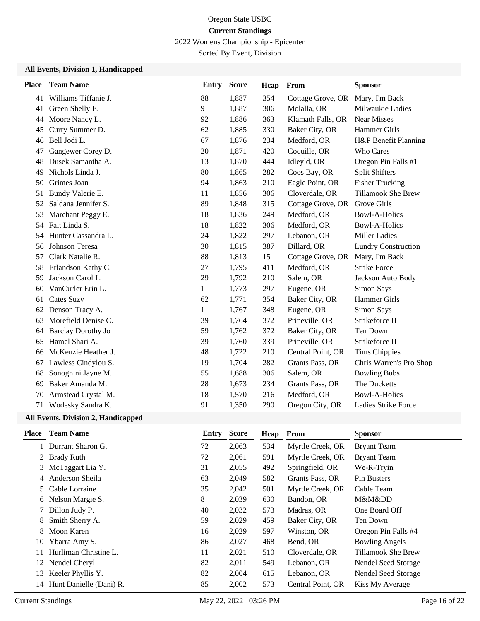2022 Womens Championship - Epicenter

Sorted By Event, Division

### **All Events, Division 1, Handicapped**

| <b>Place</b> | <b>Team Name</b>          | <b>Entry</b> | <b>Score</b> | Hcap | From              | <b>Sponsor</b>             |
|--------------|---------------------------|--------------|--------------|------|-------------------|----------------------------|
| 41           | Williams Tiffanie J.      | 88           | 1,887        | 354  | Cottage Grove, OR | Mary, I'm Back             |
| 41           | Green Shelly E.           | 9            | 1,887        | 306  | Molalla, OR       | Milwaukie Ladies           |
| 44           | Moore Nancy L.            | 92           | 1,886        | 363  | Klamath Falls, OR | <b>Near Misses</b>         |
| 45           | Curry Summer D.           | 62           | 1,885        | 330  | Baker City, OR    | Hammer Girls               |
| 46           | Bell Jodi L.              | 67           | 1,876        | 234  | Medford, OR       | H&P Benefit Planning       |
| 47           | Gangewer Corey D.         | 20           | 1,871        | 420  | Coquille, OR      | <b>Who Cares</b>           |
| 48           | Dusek Samantha A.         | 13           | 1,870        | 444  | Idleyld, OR       | Oregon Pin Falls #1        |
| 49           | Nichols Linda J.          | 80           | 1,865        | 282  | Coos Bay, OR      | <b>Split Shifters</b>      |
| 50           | Grimes Joan               | 94           | 1,863        | 210  | Eagle Point, OR   | <b>Fisher Trucking</b>     |
| 51           | Bundy Valerie E.          | 11           | 1,856        | 306  | Cloverdale, OR    | <b>Tillamook She Brew</b>  |
| 52           | Saldana Jennifer S.       | 89           | 1,848        | 315  | Cottage Grove, OR | Grove Girls                |
| 53           | Marchant Peggy E.         | 18           | 1,836        | 249  | Medford, OR       | <b>Bowl-A-Holics</b>       |
| 54           | Fait Linda S.             | 18           | 1,822        | 306  | Medford, OR       | <b>Bowl-A-Holics</b>       |
| 54           | Hunter Cassandra L.       | 24           | 1,822        | 297  | Lebanon, OR       | <b>Miller Ladies</b>       |
| 56           | Johnson Teresa            | 30           | 1,815        | 387  | Dillard, OR       | <b>Lundry Construction</b> |
| 57           | Clark Natalie R.          | 88           | 1,813        | 15   | Cottage Grove, OR | Mary, I'm Back             |
| 58           | Erlandson Kathy C.        | 27           | 1,795        | 411  | Medford, OR       | <b>Strike Force</b>        |
| 59           | Jackson Carol L.          | 29           | 1,792        | 210  | Salem, OR         | Jackson Auto Body          |
| 60           | VanCurler Erin L.         | 1            | 1,773        | 297  | Eugene, OR        | Simon Says                 |
| 61           | <b>Cates Suzy</b>         | 62           | 1,771        | 354  | Baker City, OR    | <b>Hammer Girls</b>        |
| 62           | Denson Tracy A.           | 1            | 1,767        | 348  | Eugene, OR        | Simon Says                 |
| 63           | Morefield Denise C.       | 39           | 1,764        | 372  | Prineville, OR    | Strikeforce II             |
| 64           | <b>Barclay Dorothy Jo</b> | 59           | 1,762        | 372  | Baker City, OR    | Ten Down                   |
| 65           | Hamel Shari A.            | 39           | 1,760        | 339  | Prineville, OR    | Strikeforce II             |
| 66           | McKenzie Heather J.       | 48           | 1,722        | 210  | Central Point, OR | <b>Tims Chippies</b>       |
| 67           | Lawless Cindylou S.       | 19           | 1,704        | 282  | Grants Pass, OR   | Chris Warren's Pro Shop    |
| 68           | Sonognini Jayne M.        | 55           | 1,688        | 306  | Salem, OR         | <b>Bowling Bubs</b>        |
| 69           | Baker Amanda M.           | 28           | 1,673        | 234  | Grants Pass, OR   | The Ducketts               |
| 70           | Armstead Crystal M.       | 18           | 1,570        | 216  | Medford, OR       | <b>Bowl-A-Holics</b>       |
| 71           | Wodesky Sandra K.         | 91           | 1,350        | 290  | Oregon City, OR   | Ladies Strike Force        |

| Place | <b>Team Name</b>        | Entry | <b>Score</b> | Hcap | <b>From</b>       | <b>Sponsor</b>        |
|-------|-------------------------|-------|--------------|------|-------------------|-----------------------|
|       | Durrant Sharon G.       | 72    | 2,063        | 534  | Myrtle Creek, OR  | <b>Bryant Team</b>    |
|       | 2 Brady Ruth            | 72    | 2,061        | 591  | Myrtle Creek, OR  | <b>Bryant Team</b>    |
| 3     | McTaggart Lia Y.        | 31    | 2,055        | 492  | Springfield, OR   | We-R-Tryin'           |
| 4     | Anderson Sheila         | 63    | 2,049        | 582  | Grants Pass, OR   | Pin Busters           |
|       | 5 Cable Lorraine        | 35    | 2,042        | 501  | Myrtle Creek, OR  | Cable Team            |
|       | 6 Nelson Margie S.      | 8     | 2,039        | 630  | Bandon, OR        | M&Mⅅ                  |
|       | Dillon Judy P.          | 40    | 2,032        | 573  | Madras, OR        | One Board Off         |
| 8     | Smith Sherry A.         | 59    | 2,029        | 459  | Baker City, OR    | Ten Down              |
| 8     | Moon Karen              | 16    | 2,029        | 597  | Winston, OR       | Oregon Pin Falls #4   |
| 10    | Ybarra Amy S.           | 86    | 2,027        | 468  | Bend, OR          | <b>Bowling Angels</b> |
| 11    | Hurliman Christine L.   | 11    | 2,021        | 510  | Cloverdale, OR    | Tillamook She Brew    |
|       | 12 Nendel Cheryl        | 82    | 2,011        | 549  | Lebanon, OR       | Nendel Seed Storage   |
| 13    | Keeler Phyllis Y.       | 82    | 2,004        | 615  | Lebanon, OR       | Nendel Seed Storage   |
| 14    | Hunt Danielle (Dani) R. | 85    | 2,002        | 573  | Central Point, OR | Kiss My Average       |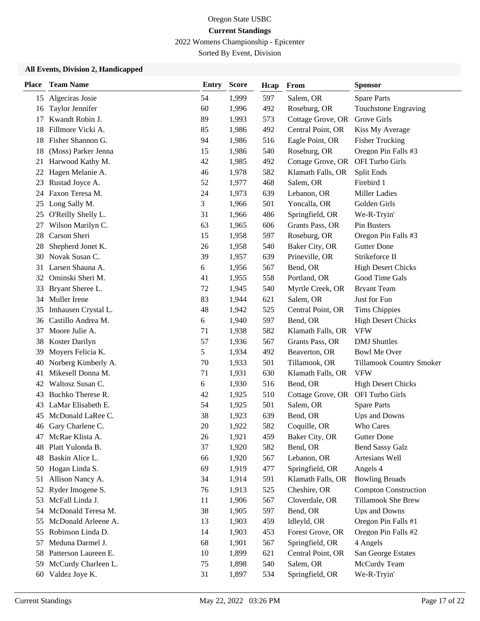2022 Womens Championship - Epicenter

Sorted By Event, Division

| <b>Place</b> | <b>Team Name</b>     | Entry | <b>Score</b> | Hcap | From              | <b>Sponsor</b>                  |
|--------------|----------------------|-------|--------------|------|-------------------|---------------------------------|
| 15           | Algeciras Josie      | 54    | 1,999        | 597  | Salem, OR         | <b>Spare Parts</b>              |
| 16           | Taylor Jennifer      | 60    | 1,996        | 492  | Roseburg, OR      | <b>Touchstone Engraving</b>     |
| 17           | Kwandt Robin J.      | 89    | 1,993        | 573  | Cottage Grove, OR | Grove Girls                     |
| 18           | Fillmore Vicki A.    | 85    | 1,986        | 492  | Central Point, OR | Kiss My Average                 |
| 18           | Fisher Shannon G.    | 94    | 1,986        | 516  | Eagle Point, OR   | Fisher Trucking                 |
| 18           | (Moss) Parker Jenna  | 15    | 1,986        | 540  | Roseburg, OR      | Oregon Pin Falls #3             |
| 21           | Harwood Kathy M.     | 42    | 1,985        | 492  | Cottage Grove, OR | OFI Turbo Girls                 |
| 22           | Hagen Melanie A.     | 46    | 1,978        | 582  | Klamath Falls, OR | Split Ends                      |
| 23           | Rustad Joyce A.      | 52    | 1,977        | 468  | Salem, OR         | Firebird 1                      |
| 24           | Faxon Teresa M.      | 24    | 1,973        | 639  | Lebanon, OR       | <b>Miller Ladies</b>            |
| 25           | Long Sally M.        | 3     | 1,966        | 501  | Yoncalla, OR      | Golden Girls                    |
| 25           | O'Reilly Shelly L.   | 31    | 1,966        | 486  | Springfield, OR   | We-R-Tryin'                     |
| 27           | Wilson Marilyn C.    | 63    | 1,965        | 606  | Grants Pass, OR   | Pin Busters                     |
| 28           | Carson Sheri         | 15    | 1,958        | 597  | Roseburg, OR      | Oregon Pin Falls #3             |
| 28           | Shepherd Jonet K.    | 26    | 1,958        | 540  | Baker City, OR    | <b>Gutter Done</b>              |
| 30           | Novak Susan C.       | 39    | 1,957        | 639  | Prineville, OR    | Strikeforce II                  |
| 31           | Larsen Shauna A.     | 6     | 1,956        | 567  | Bend, OR          | <b>High Desert Chicks</b>       |
| 32           | Ominski Sheri M.     | 41    | 1,955        | 558  | Portland, OR      | Good Time Gals                  |
| 33           | Bryant Sheree L.     | 72    | 1,945        | 540  | Myrtle Creek, OR  | <b>Bryant Team</b>              |
| 34           | Muller Irene         | 83    | 1,944        | 621  | Salem, OR         | Just for Fun                    |
| 35           | Imhausen Crystal L.  | 48    | 1,942        | 525  | Central Point, OR | <b>Tims Chippies</b>            |
| 36           | Castillo Andrea M.   | 6     | 1,940        | 597  | Bend, OR          | <b>High Desert Chicks</b>       |
| 37           | Moore Julie A.       | 71    | 1,938        | 582  | Klamath Falls, OR | <b>VFW</b>                      |
| 38           | Koster Darilyn       | 57    | 1,936        | 567  | Grants Pass, OR   | <b>DMJ</b> Shuttles             |
| 39           | Moyers Felicia K.    | 5     | 1,934        | 492  | Beaverton, OR     | <b>Bowl Me Over</b>             |
| 40           | Norberg Kimberly A.  | 70    | 1,933        | 501  | Tillamook, OR     | <b>Tillamook Country Smoker</b> |
| 41           | Mikesell Donna M.    | 71    | 1,931        | 630  | Klamath Falls, OR | <b>VFW</b>                      |
| 42           | Waltosz Susan C.     | 6     | 1,930        | 516  | Bend, OR          | <b>High Desert Chicks</b>       |
| 43           | Buchko Therese R.    | 42    | 1,925        | 510  | Cottage Grove, OR | OFI Turbo Girls                 |
| 43           | LaMar Elisabeth E.   | 54    | 1,925        | 501  | Salem, OR         | <b>Spare Parts</b>              |
| 45           | McDonald LaRee C.    | 38    | 1,923        | 639  | Bend, OR          | Ups and Downs                   |
|              | 46 Gary Charlene C.  | 20    | 1,922        | 582  | Coquille, OR      | Who Cares                       |
| 47           | McRae Klista A.      | 26    | 1,921        | 459  | Baker City, OR    | <b>Gutter Done</b>              |
| 48           | Platt Yulonda B.     | 37    | 1,920        | 582  | Bend, OR          | <b>Bend Sassy Galz</b>          |
| 48           | Baskin Alice L.      | 66    | 1,920        | 567  | Lebanon, OR       | Artesians Well                  |
| 50           | Hogan Linda S.       | 69    | 1,919        | 477  | Springfield, OR   | Angels 4                        |
| 51           | Allison Nancy A.     | 34    | 1,914        | 591  | Klamath Falls, OR | <b>Bowling Broads</b>           |
| 52           | Ryder Imogene S.     | 76    | 1,913        | 525  | Cheshire, OR      | <b>Compton Construction</b>     |
| 53           | McFall Linda J.      | 11    | 1,906        | 567  | Cloverdale, OR    | <b>Tillamook She Brew</b>       |
| 54           | McDonald Teresa M.   | 38    | 1,905        | 597  | Bend, OR          | Ups and Downs                   |
| 55           | McDonald Arleene A.  | 13    | 1,903        | 459  | Idleyld, OR       | Oregon Pin Falls #1             |
| 55           | Robinson Linda D.    | 14    | 1,903        | 453  | Forest Grove, OR  | Oregon Pin Falls #2             |
| 57           | Meduna Darmel J.     | 68    | 1,901        | 567  | Springfield, OR   | 4 Angels                        |
| 58           | Patterson Laureen E. | 10    | 1,899        | 621  | Central Point, OR | San George Estates              |
| 59           | McCurdy Charleen L.  | 75    | 1,898        | 540  | Salem, OR         | McCurdy Team                    |
| 60           | Valdez Joye K.       | 31    | 1,897        | 534  | Springfield, OR   | We-R-Tryin'                     |
|              |                      |       |              |      |                   |                                 |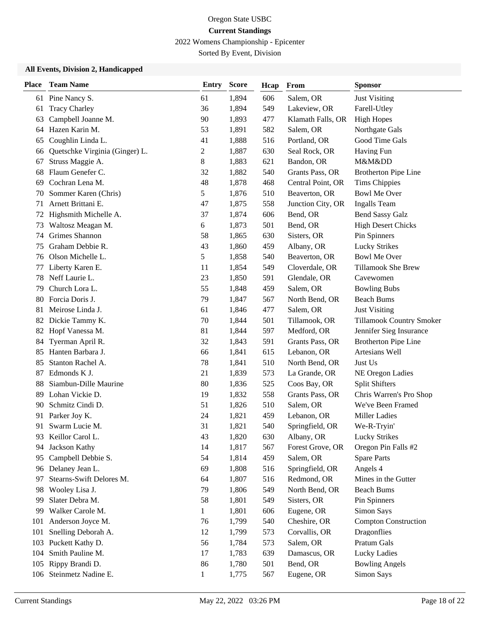2022 Womens Championship - Epicenter

Sorted By Event, Division

| <b>Place</b> | <b>Team Name</b>               | <b>Entry</b>   | <b>Score</b> | Hcap | From              | <b>Sponsor</b>              |
|--------------|--------------------------------|----------------|--------------|------|-------------------|-----------------------------|
| 61           | Pine Nancy S.                  | 61             | 1,894        | 606  | Salem, OR         | <b>Just Visiting</b>        |
| 61           | <b>Tracy Charley</b>           | 36             | 1,894        | 549  | Lakeview, OR      | Farell-Utley                |
| 63           | Campbell Joanne M.             | 90             | 1,893        | 477  | Klamath Falls, OR | <b>High Hopes</b>           |
| 64           | Hazen Karin M.                 | 53             | 1,891        | 582  | Salem, OR         | Northgate Gals              |
| 65           | Coughlin Linda L.              | 41             | 1,888        | 516  | Portland, OR      | Good Time Gals              |
| 66           | Quetschke Virginia (Ginger) L. | $\overline{c}$ | 1,887        | 630  | Seal Rock, OR     | Having Fun                  |
| 67           | Struss Maggie A.               | 8              | 1,883        | 621  | Bandon, OR        | M&Mⅅ                        |
| 68           | Flaum Genefer C.               | 32             | 1,882        | 540  | Grants Pass, OR   | <b>Brotherton Pipe Line</b> |
| 69           | Cochran Lena M.                | 48             | 1,878        | 468  | Central Point, OR | <b>Tims Chippies</b>        |
| 70           | Sommer Karen (Chris)           | 5              | 1,876        | 510  | Beaverton, OR     | <b>Bowl Me Over</b>         |
| 71           | Arnett Brittani E.             | 47             | 1,875        | 558  | Junction City, OR | <b>Ingalls Team</b>         |
| 72           | Highsmith Michelle A.          | 37             | 1,874        | 606  | Bend, OR          | <b>Bend Sassy Galz</b>      |
| 73           | Waltosz Meagan M.              | 6              | 1,873        | 501  | Bend, OR          | <b>High Desert Chicks</b>   |
| 74           | Grimes Shannon                 | 58             | 1,865        | 630  | Sisters, OR       | Pin Spinners                |
| 75           | Graham Debbie R.               | 43             | 1,860        | 459  | Albany, OR        | <b>Lucky Strikes</b>        |
| 76           | Olson Michelle L.              | 5              | 1,858        | 540  | Beaverton, OR     | <b>Bowl Me Over</b>         |
| 77           | Liberty Karen E.               | 11             | 1,854        | 549  | Cloverdale, OR    | <b>Tillamook She Brew</b>   |
| 78           | Neff Laurie L.                 | 23             | 1,850        | 591  | Glendale, OR      | Cavewomen                   |
| 79           | Church Lora L.                 | 55             | 1,848        | 459  | Salem, OR         | <b>Bowling Bubs</b>         |
| 80           | Forcia Doris J.                | 79             | 1,847        | 567  | North Bend, OR    | <b>Beach Bums</b>           |
| 81           | Meirose Linda J.               | 61             | 1,846        | 477  | Salem, OR         | <b>Just Visiting</b>        |
| 82           | Dickie Tammy K.                | 70             | 1,844        | 501  | Tillamook, OR     | Tillamook Country Smoker    |
| 82           | Hopf Vanessa M.                | 81             | 1,844        | 597  | Medford, OR       | Jennifer Sieg Insurance     |
| 84           | Tyerman April R.               | 32             | 1,843        | 591  | Grants Pass, OR   | <b>Brotherton Pipe Line</b> |
| 85           | Hanten Barbara J.              | 66             | 1,841        | 615  | Lebanon, OR       | Artesians Well              |
| 85           | Stanton Rachel A.              | 78             | 1,841        | 510  | North Bend, OR    | Just Us                     |
| 87           | Edmonds K J.                   | 21             | 1,839        | 573  | La Grande, OR     | NE Oregon Ladies            |
| 88           | Siambun-Dille Maurine          | 80             | 1,836        | 525  | Coos Bay, OR      | <b>Split Shifters</b>       |
| 89           | Lohan Vickie D.                | 19             | 1,832        | 558  | Grants Pass, OR   | Chris Warren's Pro Shop     |
| 90           | Schmitz Cindi D.               | 51             | 1,826        | 510  | Salem, OR         | We've Been Framed           |
| 91           | Parker Joy K.                  | 24             | 1,821        | 459  | Lebanon, OR       | <b>Miller Ladies</b>        |
| 91           | Swarm Lucie M.                 | 31             | 1,821        | 540  | Springfield, OR   | We-R-Tryin'                 |
| 93           | Keillor Carol L.               | 43             | 1,820        | 630  | Albany, OR        | <b>Lucky Strikes</b>        |
| 94           | Jackson Kathy                  | 14             | 1,817        | 567  | Forest Grove, OR  | Oregon Pin Falls #2         |
| 95           | Campbell Debbie S.             | 54             | 1,814        | 459  | Salem, OR         | <b>Spare Parts</b>          |
| 96           | Delaney Jean L.                | 69             | 1,808        | 516  | Springfield, OR   | Angels 4                    |
| 97           | Stearns-Swift Delores M.       | 64             | 1,807        | 516  | Redmond, OR       | Mines in the Gutter         |
| 98           | Wooley Lisa J.                 | 79             | 1,806        | 549  | North Bend, OR    | <b>Beach Bums</b>           |
| 99           | Slater Debra M.                | 58             | 1,801        | 549  | Sisters, OR       | Pin Spinners                |
| 99           | Walker Carole M.               | $\mathbf{1}$   | 1,801        | 606  | Eugene, OR        | Simon Says                  |
| 101          | Anderson Joyce M.              | 76             | 1,799        | 540  | Cheshire, OR      | <b>Compton Construction</b> |
| 101          | Snelling Deborah A.            | 12             | 1,799        | 573  | Corvallis, OR     | Dragonflies                 |
| 103          | Puckett Kathy D.               | 56             | 1,784        | 573  | Salem, OR         | Pratum Gals                 |
| 104          | Smith Pauline M.               | 17             | 1,783        | 639  | Damascus, OR      | Lucky Ladies                |
| 105          | Rippy Brandi D.                | 86             | 1,780        | 501  | Bend, OR          | <b>Bowling Angels</b>       |
| 106          | Steinmetz Nadine E.            | $\mathbf{1}$   | 1,775        | 567  | Eugene, OR        | Simon Says                  |
|              |                                |                |              |      |                   |                             |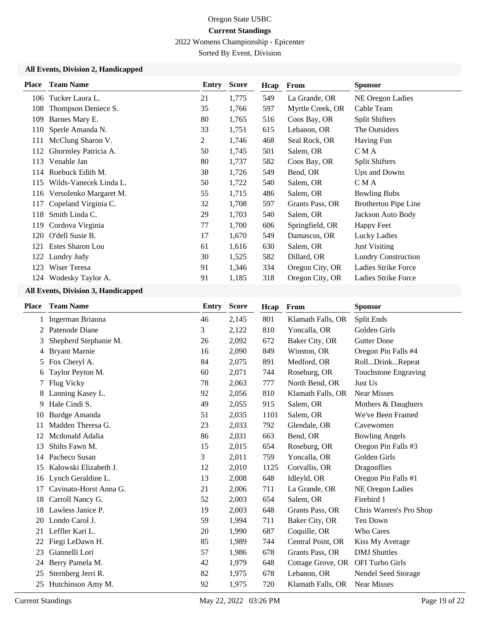2022 Womens Championship - Epicenter

Sorted By Event, Division

### **All Events, Division 2, Handicapped**

| <b>Place</b> | <b>Team Name</b>       | Entry | <b>Score</b> | Hcap | From             | <b>Sponsor</b>              |
|--------------|------------------------|-------|--------------|------|------------------|-----------------------------|
| 106          | Tucker Laura L.        | 21    | 1,775        | 549  | La Grande, OR    | NE Oregon Ladies            |
| 108          | Thompson Deniece S.    | 35    | 1,766        | 597  | Myrtle Creek, OR | Cable Team                  |
| 109          | Barnes Mary E.         | 80    | 1,765        | 516  | Coos Bay, OR     | <b>Split Shifters</b>       |
| 110          | Sperle Amanda N.       | 33    | 1,751        | 615  | Lebanon, OR      | The Outsiders               |
| 111          | McClung Sharon V.      | 2     | 1,746        | 468  | Seal Rock, OR    | Having Fun                  |
| 112          | Ghormley Patricia A.   | 50    | 1,745        | 501  | Salem, OR        | C M A                       |
| 113          | Venable Jan            | 80    | 1,737        | 582  | Coos Bay, OR     | <b>Split Shifters</b>       |
| 114          | Roebuck Edith M.       | 38    | 1,726        | 549  | Bend, OR         | Ups and Downs               |
| 115          | Wilds-Vanecek Linda L. | 50    | 1,722        | 540  | Salem, OR        | C M A                       |
| 116          | Versolenko Margaret M. | 55    | 1,715        | 486  | Salem, OR        | <b>Bowling Bubs</b>         |
| 117          | Copeland Virginia C.   | 32    | 1,708        | 597  | Grants Pass, OR  | <b>Brotherton Pipe Line</b> |
| 118          | Smith Linda C.         | 29    | 1,703        | 540  | Salem, OR        | Jackson Auto Body           |
| 119          | Cordova Virginia       | 77    | 1,700        | 606  | Springfield, OR  | Happy Feet                  |
| 120          | O'dell Susie B.        | 17    | 1,670        | 549  | Damascus, OR     | Lucky Ladies                |
| 121          | Estes Sharon Lou       | 61    | 1,616        | 630  | Salem, OR        | <b>Just Visiting</b>        |
| 122          | Lundry Judy            | 30    | 1,525        | 582  | Dillard, OR      | <b>Lundry Construction</b>  |
| 123          | Wiser Teresa           | 91    | 1,346        | 334  | Oregon City, OR  | Ladies Strike Force         |
|              | 124 Wodesky Taylor A.  | 91    | 1,185        | 318  | Oregon City, OR  | Ladies Strike Force         |

|    |                        |    | <b>Score</b> | Hcap | From              | <b>Sponsor</b>              |
|----|------------------------|----|--------------|------|-------------------|-----------------------------|
| 1  | Ingerman Brianna       | 46 | 2,145        | 801  | Klamath Falls, OR | Split Ends                  |
| 2  | Patenode Diane         | 3  | 2,122        | 810  | Yoncalla, OR      | Golden Girls                |
| 3  | Shepherd Stephanie M.  | 26 | 2,092        | 672  | Baker City, OR    | <b>Gutter Done</b>          |
| 4  | <b>Bryant Marnie</b>   | 16 | 2,090        | 849  | Winston, OR       | Oregon Pin Falls #4         |
| 5. | Fox Cheryl A.          | 84 | 2,075        | 891  | Medford, OR       | RollDrinkRepeat             |
| 6  | Taylor Peyton M.       | 60 | 2,071        | 744  | Roseburg, OR      | <b>Touchstone Engraving</b> |
| 7  | Flug Vicky             | 78 | 2,063        | 777  | North Bend, OR    | Just Us                     |
| 8  | Lanning Kasey L.       | 92 | 2,056        | 810  | Klamath Falls, OR | <b>Near Misses</b>          |
| 9  | Hale Cindi S.          | 49 | 2,055        | 915  | Salem, OR         | Mothers & Daughters         |
| 10 | Burdge Amanda          | 51 | 2,035        | 1101 | Salem, OR         | We've Been Framed           |
| 11 | Madden Theresa G.      | 23 | 2,033        | 792  | Glendale, OR      | Cavewomen                   |
| 12 | Mcdonald Adalia        | 86 | 2,031        | 663  | Bend, OR          | <b>Bowling Angels</b>       |
| 13 | Shilts Fawn M.         | 15 | 2,015        | 654  | Roseburg, OR      | Oregon Pin Falls #3         |
| 14 | Pacheco Susan          | 3  | 2,011        | 759  | Yoncalla, OR      | Golden Girls                |
| 15 | Kalowski Elizabeth J.  | 12 | 2,010        | 1125 | Corvallis, OR     | Dragonflies                 |
| 16 | Lynch Geraldine L.     | 13 | 2,008        | 648  | Idleyld, OR       | Oregon Pin Falls #1         |
| 17 | Cavinato-Horst Anna G. | 21 | 2,006        | 711  | La Grande, OR     | NE Oregon Ladies            |
| 18 | Carroll Nancy G.       | 52 | 2,003        | 654  | Salem, OR         | Firebird 1                  |
| 18 | Lawless Janice P.      | 19 | 2,003        | 648  | Grants Pass, OR   | Chris Warren's Pro Shop     |
| 20 | Londo Carol J.         | 59 | 1,994        | 711  | Baker City, OR    | Ten Down                    |
| 21 | Leffler Kari L.        | 20 | 1,990        | 687  | Coquille, OR      | <b>Who Cares</b>            |
| 22 | Fiegi LeDawn H.        | 85 | 1,989        | 744  | Central Point, OR | Kiss My Average             |
| 23 | Giannelli Lori         | 57 | 1,986        | 678  | Grants Pass, OR   | <b>DMJ</b> Shuttles         |
| 24 | Berry Pamela M.        | 42 | 1,979        | 648  | Cottage Grove, OR | OFI Turbo Girls             |
| 25 | Sternberg Jerri R.     | 82 | 1,975        | 678  | Lebanon, OR       | Nendel Seed Storage         |
| 25 | Hutchinson Amy M.      | 92 | 1,975        | 720  | Klamath Falls, OR | Near Misses                 |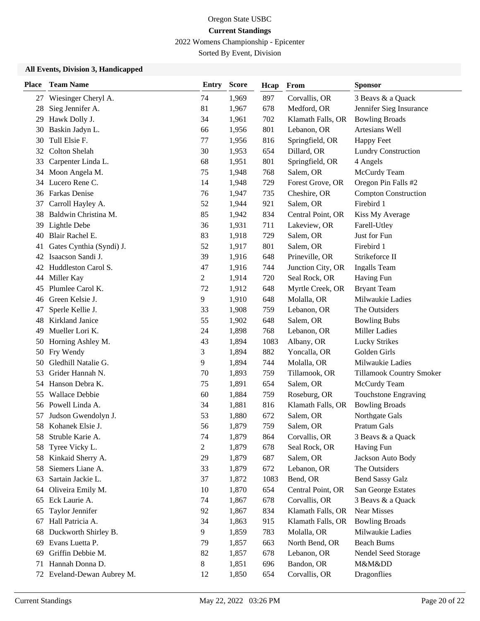2022 Womens Championship - Epicenter

Sorted By Event, Division

| <b>Place</b> | <b>Team Name</b>         | <b>Entry</b>   | <b>Score</b> | Hcap | From              | <b>Sponsor</b>              |
|--------------|--------------------------|----------------|--------------|------|-------------------|-----------------------------|
| 27           | Wiesinger Cheryl A.      | 74             | 1,969        | 897  | Corvallis, OR     | 3 Beavs & a Quack           |
| 28           | Sieg Jennifer A.         | 81             | 1,967        | 678  | Medford, OR       | Jennifer Sieg Insurance     |
| 29           | Hawk Dolly J.            | 34             | 1,961        | 702  | Klamath Falls, OR | <b>Bowling Broads</b>       |
| 30           | Baskin Jadyn L.          | 66             | 1,956        | 801  | Lebanon, OR       | Artesians Well              |
| 30           | Tull Elsie F.            | 77             | 1,956        | 816  | Springfield, OR   | <b>Happy Feet</b>           |
| 32           | <b>Colton Shelah</b>     | 30             | 1,953        | 654  | Dillard, OR       | <b>Lundry Construction</b>  |
| 33           | Carpenter Linda L.       | 68             | 1,951        | 801  | Springfield, OR   | 4 Angels                    |
| 34           | Moon Angela M.           | 75             | 1,948        | 768  | Salem, OR         | McCurdy Team                |
| 34           | Lucero Rene C.           | 14             | 1,948        | 729  | Forest Grove, OR  | Oregon Pin Falls #2         |
| 36           | Farkas Denise            | 76             | 1,947        | 735  | Cheshire, OR      | <b>Compton Construction</b> |
| 37           | Carroll Hayley A.        | 52             | 1,944        | 921  | Salem, OR         | Firebird 1                  |
| 38           | Baldwin Christina M.     | 85             | 1,942        | 834  | Central Point, OR | Kiss My Average             |
| 39           | Lightle Debe             | 36             | 1,931        | 711  | Lakeview, OR      | Farell-Utley                |
| 40           | Blair Rachel E.          | 83             | 1,918        | 729  | Salem, OR         | Just for Fun                |
| 41           | Gates Cynthia (Syndi) J. | 52             | 1,917        | 801  | Salem, OR         | Firebird 1                  |
| 42           | Isaacson Sandi J.        | 39             | 1,916        | 648  | Prineville, OR    | Strikeforce II              |
| 42           | Huddleston Carol S.      | 47             | 1,916        | 744  | Junction City, OR | <b>Ingalls</b> Team         |
| 44           | Miller Kay               | $\overline{c}$ | 1,914        | 720  | Seal Rock, OR     | Having Fun                  |
| 45           | Plumlee Carol K.         | 72             | 1,912        | 648  | Myrtle Creek, OR  | <b>Bryant Team</b>          |
| 46           | Green Kelsie J.          | 9              | 1,910        | 648  | Molalla, OR       | Milwaukie Ladies            |
| 47           | Sperle Kellie J.         | 33             | 1,908        | 759  | Lebanon, OR       | The Outsiders               |
| 48           | Kirkland Janice          | 55             | 1,902        | 648  | Salem, OR         | <b>Bowling Bubs</b>         |
| 49           | Mueller Lori K.          | 24             | 1,898        | 768  | Lebanon, OR       | <b>Miller Ladies</b>        |
| 50           | Horning Ashley M.        | 43             | 1,894        | 1083 | Albany, OR        | <b>Lucky Strikes</b>        |
| 50           | Fry Wendy                | 3              | 1,894        | 882  | Yoncalla, OR      | Golden Girls                |
| 50           | Gledhill Natalie G.      | 9              | 1,894        | 744  | Molalla, OR       | Milwaukie Ladies            |
| 53           | Grider Hannah N.         | 70             | 1,893        | 759  | Tillamook, OR     | Tillamook Country Smoker    |
| 54           | Hanson Debra K.          | 75             | 1,891        | 654  | Salem, OR         | McCurdy Team                |
| 55           | <b>Wallace Debbie</b>    | 60             | 1,884        | 759  | Roseburg, OR      | Touchstone Engraving        |
| 56           | Powell Linda A.          | 34             | 1,881        | 816  | Klamath Falls, OR | <b>Bowling Broads</b>       |
| 57           | Judson Gwendolyn J.      | 53             | 1,880        | 672  | Salem, OR         | Northgate Gals              |
| 58           | Kohanek Elsie J.         | 56             | 1,879        | 759  | Salem, OR         | Pratum Gals                 |
| 58           | Struble Karie A.         | 74             | 1,879        | 864  | Corvallis, OR     | 3 Beavs & a Quack           |
| 58           | Tyree Vicky L.           | $\overline{2}$ | 1,879        | 678  | Seal Rock, OR     | Having Fun                  |
| 58           | Kinkaid Sherry A.        | 29             | 1,879        | 687  | Salem, OR         | Jackson Auto Body           |
| 58           | Siemers Liane A.         | 33             | 1,879        | 672  | Lebanon, OR       | The Outsiders               |
| 63           | Sartain Jackie L.        | 37             | 1,872        | 1083 | Bend, OR          | <b>Bend Sassy Galz</b>      |
| 64           | Oliveira Emily M.        | 10             | 1,870        | 654  | Central Point, OR | San George Estates          |
| 65           | Eck Laurie A.            | 74             | 1,867        | 678  | Corvallis, OR     | 3 Beavs & a Quack           |
| 65           | Taylor Jennifer          | 92             | 1,867        | 834  | Klamath Falls, OR | <b>Near Misses</b>          |
| 67           | Hall Patricia A.         | 34             | 1,863        | 915  | Klamath Falls, OR | <b>Bowling Broads</b>       |
| 68           | Duckworth Shirley B.     | 9              | 1,859        | 783  | Molalla, OR       | Milwaukie Ladies            |
| 69           | Evans Luetta P.          | 79             | 1,857        | 663  | North Bend, OR    | <b>Beach Bums</b>           |
| 69           | Griffin Debbie M.        | 82             | 1,857        | 678  | Lebanon, OR       | Nendel Seed Storage         |
| 71           | Hannah Donna D.          | 8              | 1,851        | 696  | Bandon, OR        | M&Mⅅ                        |
| 72           | Eveland-Dewan Aubrey M.  | 12             | 1,850        | 654  | Corvallis, OR     | Dragonflies                 |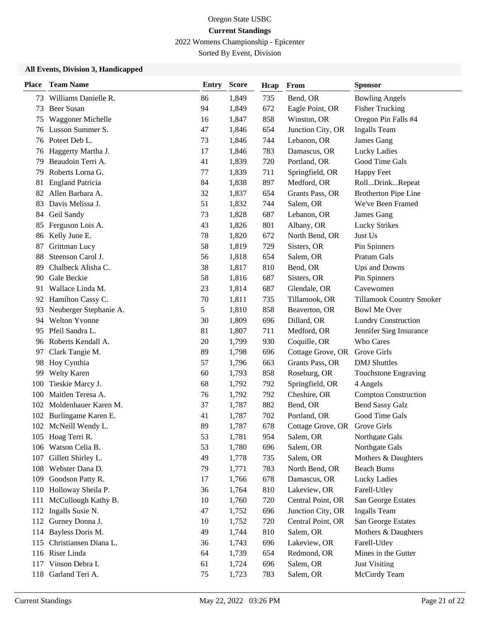2022 Womens Championship - Epicenter

Sorted By Event, Division

| <b>Place</b> | <b>Team Name</b>        | <b>Entry</b> | <b>Score</b> | Hcap | From              | <b>Sponsor</b>              |
|--------------|-------------------------|--------------|--------------|------|-------------------|-----------------------------|
| 73           | Williams Danielle R.    | 86           | 1,849        | 735  | Bend, OR          | <b>Bowling Angels</b>       |
| 73           | <b>Beer Susan</b>       | 94           | 1,849        | 672  | Eagle Point, OR   | <b>Fisher Trucking</b>      |
| 75           | Waggoner Michelle       | 16           | 1,847        | 858  | Winston, OR       | Oregon Pin Falls #4         |
| 76           | Lusson Summer S.        | 47           | 1,846        | 654  | Junction City, OR | <b>Ingalls Team</b>         |
|              | 76 Poteet Deb L.        | 73           | 1,846        | 744  | Lebanon, OR       | James Gang                  |
| 76           | Haggerty Martha J.      | 17           | 1,846        | 783  | Damascus, OR      | Lucky Ladies                |
| 79           | Beaudoin Terri A.       | 41           | 1,839        | 720  | Portland, OR      | Good Time Gals              |
| 79           | Roberts Lorna G.        | 77           | 1,839        | 711  | Springfield, OR   | <b>Happy Feet</b>           |
| 81           | <b>England Patricia</b> | 84           | 1,838        | 897  | Medford, OR       | RollDrinkRepeat             |
| 82           | Allen Barbara A.        | 32           | 1,837        | 654  | Grants Pass, OR   | <b>Brotherton Pipe Line</b> |
| 83           | Davis Melissa J.        | 51           | 1,832        | 744  | Salem, OR         | We've Been Framed           |
| 84           | Geil Sandy              | 73           | 1,828        | 687  | Lebanon, OR       | James Gang                  |
| 85           | Ferguson Lois A.        | 43           | 1,826        | 801  | Albany, OR        | <b>Lucky Strikes</b>        |
| 86           | Kelly June E.           | 78           | 1,820        | 672  | North Bend, OR    | Just Us                     |
| 87           | Grittman Lucy           | 58           | 1,819        | 729  | Sisters, OR       | Pin Spinners                |
| 88           | Steenson Carol J.       | 56           | 1,818        | 654  | Salem, OR         | Pratum Gals                 |
| 89           | Chalbeck Alisha C.      | 38           | 1,817        | 810  | Bend, OR          | Ups and Downs               |
| 90           | Gale Beckie             | 58           | 1,816        | 687  | Sisters, OR       | Pin Spinners                |
| 91           | Wallace Linda M.        | 23           | 1,814        | 687  | Glendale, OR      | Cavewomen                   |
| 92           | Hamilton Cassy C.       | 70           | 1,811        | 735  | Tillamook, OR     | Tillamook Country Smoker    |
| 93           | Neuberger Stephanie A.  | 5            | 1,810        | 858  | Beaverton, OR     | <b>Bowl Me Over</b>         |
| 94           | <b>Welton Yvonne</b>    | 30           | 1,809        | 696  | Dillard, OR       | <b>Lundry Construction</b>  |
| 95           | Pfeil Sandra L.         | 81           | 1,807        | 711  | Medford, OR       | Jennifer Sieg Insurance     |
| 96           | Roberts Kendall A.      | 20           | 1,799        | 930  | Coquille, OR      | Who Cares                   |
| 97           | Clark Tangie M.         | 89           | 1,798        | 696  | Cottage Grove, OR | Grove Girls                 |
| 98           | Hoy Cynthia             | 57           | 1,796        | 663  | Grants Pass, OR   | <b>DMJ</b> Shuttles         |
| 99           | <b>Welty Karen</b>      | 60           | 1,793        | 858  | Roseburg, OR      | Touchstone Engraving        |
| 100          | Tieskie Marcy J.        | 68           | 1,792        | 792  | Springfield, OR   | 4 Angels                    |
| 100          | Maitlen Teresa A.       | 76           | 1,792        | 792  | Cheshire, OR      | <b>Compton Construction</b> |
| 102          | Moldenhauer Karen M.    | 37           | 1,787        | 882  | Bend, OR          | <b>Bend Sassy Galz</b>      |
| 102          | Burlingame Karen E.     | 41           | 1,787        | 702  | Portland, OR      | Good Time Gals              |
|              | 102 McNeill Wendy L.    | 89           | 1,787        | 678  | Cottage Grove, OR | Grove Girls                 |
|              | 105 Hoag Terri R.       | 53           | 1,781        | 954  | Salem, OR         | Northgate Gals              |
| 106          | Watson Celia B.         | 53           | 1,780        | 696  | Salem, OR         | Northgate Gals              |
| 107          | Gillett Shirley L.      | 49           | 1,778        | 735  | Salem, OR         | Mothers & Daughters         |
| 108          | Webster Dana D.         | 79           | 1,771        | 783  | North Bend, OR    | <b>Beach Bums</b>           |
| 109          | Goodson Patty R.        | 17           | 1,766        | 678  | Damascus, OR      | Lucky Ladies                |
| 110          | Holloway Sheila P.      | 36           | 1,764        | 810  | Lakeview, OR      | Farell-Utley                |
| 111          | McCullough Kathy B.     | 10           | 1,760        | 720  | Central Point, OR | San George Estates          |
| 112          | Ingalls Susie N.        | 47           | 1,752        | 696  | Junction City, OR | <b>Ingalls Team</b>         |
| 112          | Gurney Donna J.         | 10           | 1,752        | 720  | Central Point, OR | San George Estates          |
| 114          | Bayless Doris M.        | 49           | 1,744        | 810  | Salem, OR         | Mothers & Daughters         |
| 115          | Christiansen Diana L.   | 36           | 1,743        | 696  | Lakeview, OR      | Farell-Utley                |
| 116          | Riser Linda             | 64           | 1,739        | 654  | Redmond, OR       | Mines in the Gutter         |
| 117          | Vinson Debra I.         | 61           | 1,724        | 696  | Salem, OR         | <b>Just Visiting</b>        |
| 118          | Garland Teri A.         | 75           | 1,723        | 783  | Salem, OR         | McCurdy Team                |